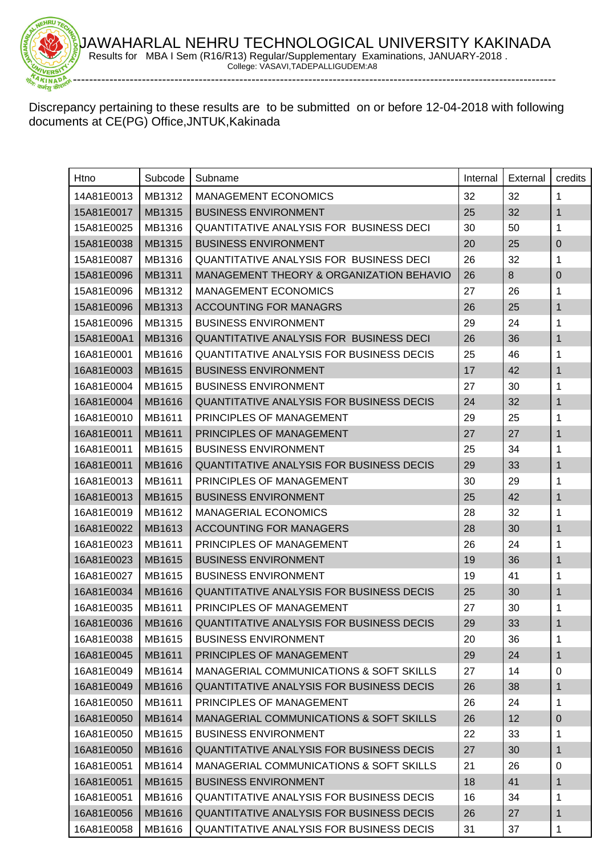

Discrepancy pertaining to these results are to be submitted on or before 12-04-2018 with following documents at CE(PG) Office,JNTUK,Kakinada

| Htno                | Subcode       | Subname                                         | Internal | External | credits        |
|---------------------|---------------|-------------------------------------------------|----------|----------|----------------|
| 14A81E0013          | MB1312        | <b>MANAGEMENT ECONOMICS</b>                     | 32       | 32       | 1              |
| 15A81E0017          | MB1315        | <b>BUSINESS ENVIRONMENT</b>                     | 25       | 32       | $\mathbf{1}$   |
| 15A81E0025          | MB1316        | <b>QUANTITATIVE ANALYSIS FOR BUSINESS DECI</b>  | 30       | 50       | 1              |
| 15A81E0038          | MB1315        | <b>BUSINESS ENVIRONMENT</b>                     | 20       | 25       | $\pmb{0}$      |
| 15A81E0087          | MB1316        | <b>QUANTITATIVE ANALYSIS FOR BUSINESS DECI</b>  | 26       | 32       | 1              |
| 15A81E0096          | MB1311        | MANAGEMENT THEORY & ORGANIZATION BEHAVIO        | 26       | 8        | $\overline{0}$ |
| 15A81E0096          | MB1312        | <b>MANAGEMENT ECONOMICS</b>                     | 27       | 26       | 1              |
| 15A81E0096          | MB1313        | <b>ACCOUNTING FOR MANAGRS</b>                   | 26       | 25       | 1              |
| 15A81E0096          | MB1315        | <b>BUSINESS ENVIRONMENT</b>                     | 29       | 24       | 1              |
| 15A81E00A1          | MB1316        | <b>QUANTITATIVE ANALYSIS FOR BUSINESS DECI</b>  | 26       | 36       | 1              |
| 16A81E0001          | MB1616        | <b>QUANTITATIVE ANALYSIS FOR BUSINESS DECIS</b> | 25       | 46       | 1              |
| 16A81E0003          | MB1615        | <b>BUSINESS ENVIRONMENT</b>                     | 17       | 42       | $\mathbf{1}$   |
| 16A81E0004          | MB1615        | <b>BUSINESS ENVIRONMENT</b>                     | 27       | 30       | 1              |
| 16A81E0004          | <b>MB1616</b> | QUANTITATIVE ANALYSIS FOR BUSINESS DECIS        | 24       | 32       | $\mathbf{1}$   |
| 16A81E0010          | MB1611        | PRINCIPLES OF MANAGEMENT                        | 29       | 25       | 1              |
| 16A81E0011          | MB1611        | PRINCIPLES OF MANAGEMENT                        | 27       | 27       | $\mathbf{1}$   |
| 16A81E0011          | MB1615        | <b>BUSINESS ENVIRONMENT</b>                     | 25       | 34       | 1              |
| 16A81E0011          | MB1616        | <b>QUANTITATIVE ANALYSIS FOR BUSINESS DECIS</b> | 29       | 33       | 1              |
| 16A81E0013          | MB1611        | PRINCIPLES OF MANAGEMENT                        | 30       | 29       | 1              |
| 16A81E0013          | MB1615        | <b>BUSINESS ENVIRONMENT</b>                     | 25       | 42       | 1              |
| 16A81E0019          | MB1612        | <b>MANAGERIAL ECONOMICS</b>                     | 28       | 32       | 1              |
| 16A81E0022          | MB1613        | <b>ACCOUNTING FOR MANAGERS</b>                  | 28       | 30       | 1              |
| 16A81E0023          | MB1611        | PRINCIPLES OF MANAGEMENT                        | 26       | 24       | 1              |
| 16A81E0023          | MB1615        | <b>BUSINESS ENVIRONMENT</b>                     | 19       | 36       | $\mathbf{1}$   |
| 16A81E0027          | MB1615        | <b>BUSINESS ENVIRONMENT</b>                     | 19       | 41       | 1              |
| 16A81E0034          | MB1616        | <b>QUANTITATIVE ANALYSIS FOR BUSINESS DECIS</b> | 25       | 30       | 1              |
| 16A81E0035          | MB1611        | PRINCIPLES OF MANAGEMENT                        | 27       | 30       | 1              |
| 16A81E0036   MB1616 |               | QUANTITATIVE ANALYSIS FOR BUSINESS DECIS        | 29       | 33       | $\mathbf 1$    |
| 16A81E0038          | MB1615        | <b>BUSINESS ENVIRONMENT</b>                     | 20       | 36       | 1              |
| 16A81E0045          | MB1611        | PRINCIPLES OF MANAGEMENT                        | 29       | 24       | $\mathbf{1}$   |
| 16A81E0049          | MB1614        | MANAGERIAL COMMUNICATIONS & SOFT SKILLS         | 27       | 14       | 0              |
| 16A81E0049          | MB1616        | <b>QUANTITATIVE ANALYSIS FOR BUSINESS DECIS</b> | 26       | 38       | 1              |
| 16A81E0050          | MB1611        | PRINCIPLES OF MANAGEMENT                        | 26       | 24       | 1              |
| 16A81E0050          | MB1614        | MANAGERIAL COMMUNICATIONS & SOFT SKILLS         | 26       | 12       | $\mathbf 0$    |
| 16A81E0050          | MB1615        | <b>BUSINESS ENVIRONMENT</b>                     | 22       | 33       | 1              |
| 16A81E0050          | MB1616        | <b>QUANTITATIVE ANALYSIS FOR BUSINESS DECIS</b> | 27       | 30       | 1              |
| 16A81E0051          | MB1614        | MANAGERIAL COMMUNICATIONS & SOFT SKILLS         | 21       | 26       | 0              |
| 16A81E0051          | MB1615        | <b>BUSINESS ENVIRONMENT</b>                     | 18       | 41       | 1              |
| 16A81E0051          | MB1616        | <b>QUANTITATIVE ANALYSIS FOR BUSINESS DECIS</b> | 16       | 34       | 1              |
| 16A81E0056          | MB1616        | <b>QUANTITATIVE ANALYSIS FOR BUSINESS DECIS</b> | 26       | 27       | 1              |
| 16A81E0058          | MB1616        | QUANTITATIVE ANALYSIS FOR BUSINESS DECIS        | 31       | 37       | $\mathbf 1$    |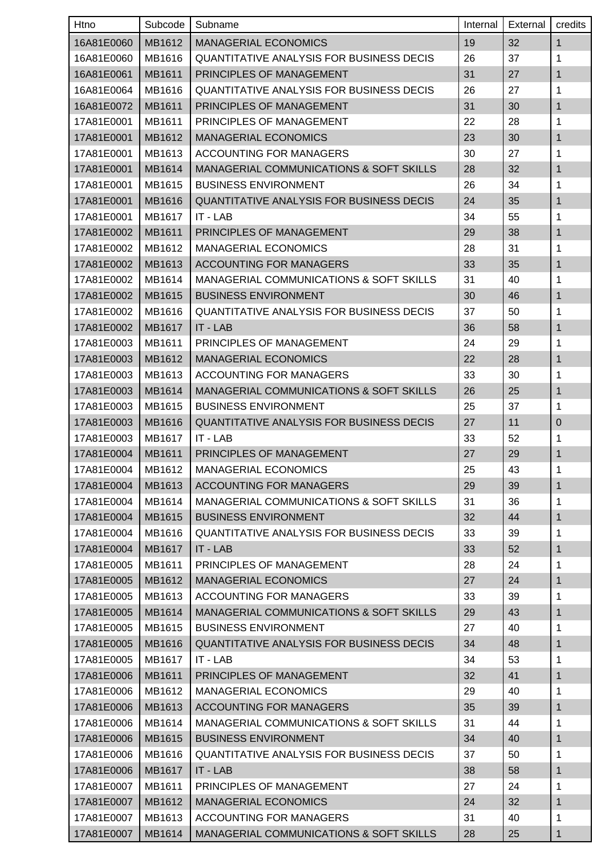| Htno       | Subcode | Subname                                            | Internal | External | credits      |
|------------|---------|----------------------------------------------------|----------|----------|--------------|
| 16A81E0060 | MB1612  | <b>MANAGERIAL ECONOMICS</b>                        | 19       | 32       | $\mathbf{1}$ |
| 16A81E0060 | MB1616  | <b>QUANTITATIVE ANALYSIS FOR BUSINESS DECIS</b>    | 26       | 37       | 1            |
| 16A81E0061 | MB1611  | PRINCIPLES OF MANAGEMENT                           | 31       | 27       | 1            |
| 16A81E0064 | MB1616  | <b>QUANTITATIVE ANALYSIS FOR BUSINESS DECIS</b>    | 26       | 27       | 1            |
| 16A81E0072 | MB1611  | PRINCIPLES OF MANAGEMENT                           | 31       | 30       | 1            |
| 17A81E0001 | MB1611  | PRINCIPLES OF MANAGEMENT                           | 22       | 28       | 1            |
| 17A81E0001 | MB1612  | <b>MANAGERIAL ECONOMICS</b>                        | 23       | 30       | 1            |
| 17A81E0001 | MB1613  | <b>ACCOUNTING FOR MANAGERS</b>                     | 30       | 27       | 1            |
| 17A81E0001 | MB1614  | <b>MANAGERIAL COMMUNICATIONS &amp; SOFT SKILLS</b> | 28       | 32       | 1            |
| 17A81E0001 | MB1615  | <b>BUSINESS ENVIRONMENT</b>                        | 26       | 34       | 1            |
| 17A81E0001 | MB1616  | <b>QUANTITATIVE ANALYSIS FOR BUSINESS DECIS</b>    | 24       | 35       | 1            |
| 17A81E0001 | MB1617  | IT - LAB                                           | 34       | 55       | 1            |
| 17A81E0002 | MB1611  | PRINCIPLES OF MANAGEMENT                           | 29       | 38       | 1            |
| 17A81E0002 | MB1612  | <b>MANAGERIAL ECONOMICS</b>                        | 28       | 31       | 1            |
| 17A81E0002 | MB1613  | <b>ACCOUNTING FOR MANAGERS</b>                     | 33       | 35       | 1            |
| 17A81E0002 | MB1614  | MANAGERIAL COMMUNICATIONS & SOFT SKILLS            | 31       | 40       | 1            |
| 17A81E0002 | MB1615  | <b>BUSINESS ENVIRONMENT</b>                        | 30       | 46       | 1            |
| 17A81E0002 | MB1616  | <b>QUANTITATIVE ANALYSIS FOR BUSINESS DECIS</b>    | 37       | 50       | 1            |
| 17A81E0002 | MB1617  | IT - LAB                                           | 36       | 58       | 1            |
| 17A81E0003 | MB1611  | PRINCIPLES OF MANAGEMENT                           | 24       | 29       | 1            |
| 17A81E0003 | MB1612  | <b>MANAGERIAL ECONOMICS</b>                        | 22       | 28       | 1            |
| 17A81E0003 | MB1613  | ACCOUNTING FOR MANAGERS                            | 33       | 30       | 1            |
| 17A81E0003 | MB1614  | <b>MANAGERIAL COMMUNICATIONS &amp; SOFT SKILLS</b> | 26       | 25       | 1            |
| 17A81E0003 | MB1615  | <b>BUSINESS ENVIRONMENT</b>                        | 25       | 37       | 1            |
| 17A81E0003 | MB1616  | QUANTITATIVE ANALYSIS FOR BUSINESS DECIS           | 27       | 11       | $\pmb{0}$    |
| 17A81E0003 | MB1617  | IT - LAB                                           | 33       | 52       | 1            |
| 17A81E0004 | MB1611  | PRINCIPLES OF MANAGEMENT                           | 27       | 29       | 1            |
| 17A81E0004 | MB1612  | <b>MANAGERIAL ECONOMICS</b>                        | 25       | 43       | 1            |
| 17A81E0004 | MB1613  | <b>ACCOUNTING FOR MANAGERS</b>                     | 29       | 39       | $\mathbf{1}$ |
| 17A81E0004 | MB1614  | MANAGERIAL COMMUNICATIONS & SOFT SKILLS            | 31       | 36       | 1            |
| 17A81E0004 | MB1615  | <b>BUSINESS ENVIRONMENT</b>                        | 32       | 44       | 1            |
| 17A81E0004 | MB1616  | <b>QUANTITATIVE ANALYSIS FOR BUSINESS DECIS</b>    | 33       | 39       | 1            |
| 17A81E0004 | MB1617  | $IT - LAB$                                         | 33       | 52       | 1            |
| 17A81E0005 | MB1611  | PRINCIPLES OF MANAGEMENT                           | 28       | 24       | 1            |
| 17A81E0005 | MB1612  | <b>MANAGERIAL ECONOMICS</b>                        | 27       | 24       | 1            |
| 17A81E0005 | MB1613  | ACCOUNTING FOR MANAGERS                            | 33       | 39       | 1            |
| 17A81E0005 | MB1614  | MANAGERIAL COMMUNICATIONS & SOFT SKILLS            | 29       | 43       | 1            |
| 17A81E0005 | MB1615  | <b>BUSINESS ENVIRONMENT</b>                        | 27       | 40       | 1            |
| 17A81E0005 | MB1616  | QUANTITATIVE ANALYSIS FOR BUSINESS DECIS           | 34       | 48       | 1            |
| 17A81E0005 | MB1617  | IT - LAB                                           | 34       | 53       | 1            |
| 17A81E0006 | MB1611  | PRINCIPLES OF MANAGEMENT                           | 32       | 41       | 1            |
| 17A81E0006 | MB1612  | <b>MANAGERIAL ECONOMICS</b>                        | 29       | 40       | 1            |
| 17A81E0006 | MB1613  | <b>ACCOUNTING FOR MANAGERS</b>                     | 35       | 39       | 1            |
| 17A81E0006 | MB1614  | MANAGERIAL COMMUNICATIONS & SOFT SKILLS            | 31       | 44       | 1            |
| 17A81E0006 | MB1615  | <b>BUSINESS ENVIRONMENT</b>                        | 34       | 40       | 1            |
| 17A81E0006 | MB1616  | <b>QUANTITATIVE ANALYSIS FOR BUSINESS DECIS</b>    | 37       | 50       | 1            |
| 17A81E0006 | MB1617  | $IT - LAB$                                         | 38       | 58       | 1            |
| 17A81E0007 | MB1611  | PRINCIPLES OF MANAGEMENT                           | 27       | 24       | 1            |
| 17A81E0007 | MB1612  | <b>MANAGERIAL ECONOMICS</b>                        | 24       | 32       | 1            |
| 17A81E0007 | MB1613  | <b>ACCOUNTING FOR MANAGERS</b>                     | 31       | 40       | 1            |
| 17A81E0007 | MB1614  | MANAGERIAL COMMUNICATIONS & SOFT SKILLS            | 28       | 25       | 1            |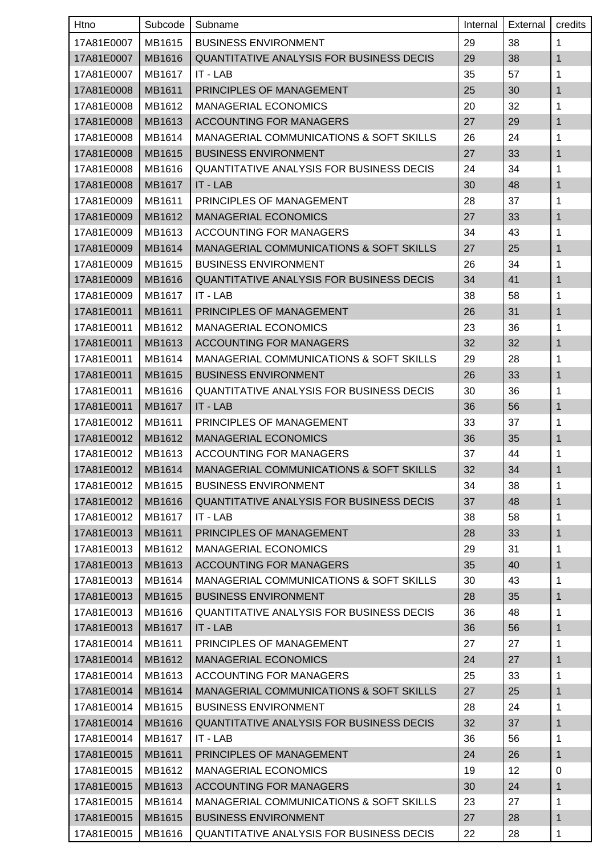| Htno       | Subcode | Subname                                            | Internal | External | credits      |
|------------|---------|----------------------------------------------------|----------|----------|--------------|
| 17A81E0007 | MB1615  | <b>BUSINESS ENVIRONMENT</b>                        | 29       | 38       | 1            |
| 17A81E0007 | MB1616  | <b>QUANTITATIVE ANALYSIS FOR BUSINESS DECIS</b>    | 29       | 38       | 1            |
| 17A81E0007 | MB1617  | IT - LAB                                           | 35       | 57       | 1            |
| 17A81E0008 | MB1611  | PRINCIPLES OF MANAGEMENT                           | 25       | 30       | 1            |
| 17A81E0008 | MB1612  | <b>MANAGERIAL ECONOMICS</b>                        | 20       | 32       | 1            |
| 17A81E0008 | MB1613  | <b>ACCOUNTING FOR MANAGERS</b>                     | 27       | 29       | 1            |
| 17A81E0008 | MB1614  | MANAGERIAL COMMUNICATIONS & SOFT SKILLS            | 26       | 24       | 1            |
| 17A81E0008 | MB1615  | <b>BUSINESS ENVIRONMENT</b>                        | 27       | 33       | $\mathbf{1}$ |
| 17A81E0008 | MB1616  | <b>QUANTITATIVE ANALYSIS FOR BUSINESS DECIS</b>    | 24       | 34       | 1            |
| 17A81E0008 | MB1617  | IT - LAB                                           | 30       | 48       | 1            |
| 17A81E0009 | MB1611  | PRINCIPLES OF MANAGEMENT                           | 28       | 37       | 1            |
| 17A81E0009 | MB1612  | <b>MANAGERIAL ECONOMICS</b>                        | 27       | 33       | 1            |
| 17A81E0009 | MB1613  | <b>ACCOUNTING FOR MANAGERS</b>                     | 34       | 43       | 1            |
| 17A81E0009 | MB1614  | <b>MANAGERIAL COMMUNICATIONS &amp; SOFT SKILLS</b> | 27       | 25       | 1            |
| 17A81E0009 | MB1615  | <b>BUSINESS ENVIRONMENT</b>                        | 26       | 34       | 1            |
| 17A81E0009 | MB1616  | QUANTITATIVE ANALYSIS FOR BUSINESS DECIS           | 34       | 41       | 1            |
| 17A81E0009 | MB1617  | IT - LAB                                           | 38       | 58       | 1            |
| 17A81E0011 | MB1611  | PRINCIPLES OF MANAGEMENT                           | 26       | 31       | 1            |
| 17A81E0011 | MB1612  | <b>MANAGERIAL ECONOMICS</b>                        | 23       | 36       | 1            |
| 17A81E0011 | MB1613  | <b>ACCOUNTING FOR MANAGERS</b>                     | 32       | 32       | 1            |
| 17A81E0011 | MB1614  | MANAGERIAL COMMUNICATIONS & SOFT SKILLS            | 29       | 28       | 1            |
| 17A81E0011 | MB1615  | <b>BUSINESS ENVIRONMENT</b>                        | 26       | 33       | 1            |
| 17A81E0011 | MB1616  | <b>QUANTITATIVE ANALYSIS FOR BUSINESS DECIS</b>    | 30       | 36       | 1            |
| 17A81E0011 | MB1617  | IT - LAB                                           | 36       | 56       | 1            |
| 17A81E0012 | MB1611  | PRINCIPLES OF MANAGEMENT                           | 33       | 37       | 1            |
| 17A81E0012 | MB1612  | <b>MANAGERIAL ECONOMICS</b>                        | 36       | 35       | 1            |
| 17A81E0012 | MB1613  | <b>ACCOUNTING FOR MANAGERS</b>                     | 37       | 44       | 1            |
| 17A81E0012 | MB1614  | MANAGERIAL COMMUNICATIONS & SOFT SKILLS            | 32       | 34       | 1            |
| 17A81E0012 | MB1615  | <b>BUSINESS ENVIRONMENT</b>                        | 34       | 38       | 1            |
| 17A81E0012 | MB1616  | QUANTITATIVE ANALYSIS FOR BUSINESS DECIS           | 37       | 48       | 1            |
| 17A81E0012 | MB1617  | IT - LAB                                           | 38       | 58       | 1            |
| 17A81E0013 | MB1611  | PRINCIPLES OF MANAGEMENT                           | 28       | 33       | 1            |
| 17A81E0013 | MB1612  | <b>MANAGERIAL ECONOMICS</b>                        | 29       | 31       | 1            |
| 17A81E0013 | MB1613  | <b>ACCOUNTING FOR MANAGERS</b>                     | 35       | 40       | 1            |
| 17A81E0013 | MB1614  | MANAGERIAL COMMUNICATIONS & SOFT SKILLS            | 30       | 43       | 1            |
| 17A81E0013 | MB1615  | <b>BUSINESS ENVIRONMENT</b>                        | 28       | 35       | 1            |
| 17A81E0013 | MB1616  | <b>QUANTITATIVE ANALYSIS FOR BUSINESS DECIS</b>    | 36       | 48       | 1            |
| 17A81E0013 | MB1617  | IT - LAB                                           | 36       | 56       | 1            |
| 17A81E0014 | MB1611  | PRINCIPLES OF MANAGEMENT                           | 27       | 27       | 1            |
| 17A81E0014 | MB1612  | <b>MANAGERIAL ECONOMICS</b>                        | 24       | 27       | 1            |
| 17A81E0014 | MB1613  | ACCOUNTING FOR MANAGERS                            | 25       | 33       | 1            |
| 17A81E0014 | MB1614  | MANAGERIAL COMMUNICATIONS & SOFT SKILLS            | 27       | 25       | 1            |
| 17A81E0014 | MB1615  | <b>BUSINESS ENVIRONMENT</b>                        | 28       | 24       | 1            |
| 17A81E0014 | MB1616  | QUANTITATIVE ANALYSIS FOR BUSINESS DECIS           | 32       | 37       | 1            |
| 17A81E0014 | MB1617  | IT - LAB                                           | 36       | 56       | 1            |
| 17A81E0015 | MB1611  | PRINCIPLES OF MANAGEMENT                           | 24       | 26       | 1            |
| 17A81E0015 | MB1612  | <b>MANAGERIAL ECONOMICS</b>                        | 19       | 12       | $\mathbf 0$  |
| 17A81E0015 | MB1613  | <b>ACCOUNTING FOR MANAGERS</b>                     | 30       | 24       | 1            |
| 17A81E0015 | MB1614  | <b>MANAGERIAL COMMUNICATIONS &amp; SOFT SKILLS</b> | 23       | 27       | 1            |
| 17A81E0015 | MB1615  | <b>BUSINESS ENVIRONMENT</b>                        | 27       | 28       | 1            |
| 17A81E0015 | MB1616  | QUANTITATIVE ANALYSIS FOR BUSINESS DECIS           | 22       | 28       | 1            |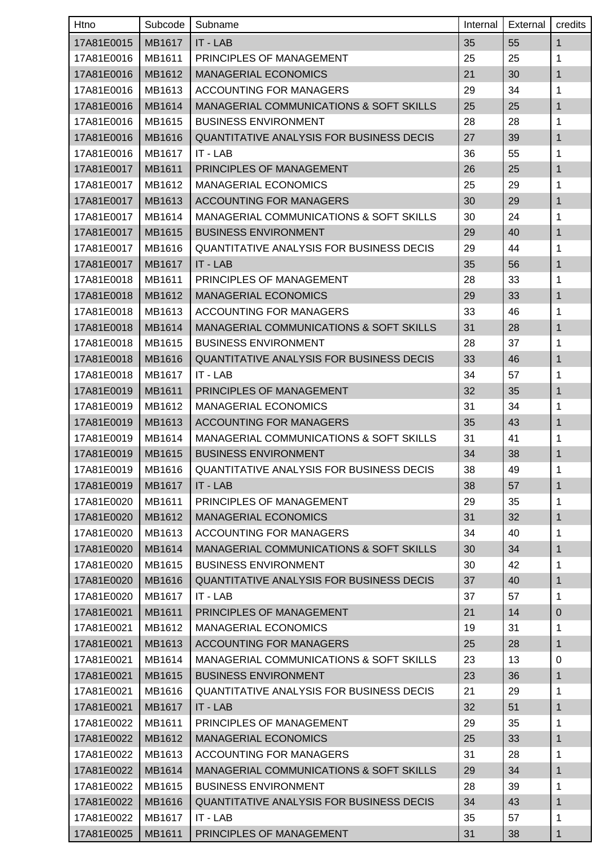| Htno       | Subcode       | Subname                                            | Internal | External | credits      |
|------------|---------------|----------------------------------------------------|----------|----------|--------------|
| 17A81E0015 | <b>MB1617</b> | IT - LAB                                           | 35       | 55       | $\mathbf{1}$ |
| 17A81E0016 | MB1611        | PRINCIPLES OF MANAGEMENT                           | 25       | 25       | 1            |
| 17A81E0016 | MB1612        | <b>MANAGERIAL ECONOMICS</b>                        | 21       | 30       | $\mathbf{1}$ |
| 17A81E0016 | MB1613        | ACCOUNTING FOR MANAGERS                            | 29       | 34       | 1            |
| 17A81E0016 | MB1614        | <b>MANAGERIAL COMMUNICATIONS &amp; SOFT SKILLS</b> | 25       | 25       | $\mathbf{1}$ |
| 17A81E0016 | MB1615        | <b>BUSINESS ENVIRONMENT</b>                        | 28       | 28       | 1            |
| 17A81E0016 | MB1616        | <b>QUANTITATIVE ANALYSIS FOR BUSINESS DECIS</b>    | 27       | 39       | $\mathbf{1}$ |
| 17A81E0016 | MB1617        | IT - LAB                                           | 36       | 55       | 1            |
| 17A81E0017 | MB1611        | PRINCIPLES OF MANAGEMENT                           | 26       | 25       | 1            |
| 17A81E0017 | MB1612        | <b>MANAGERIAL ECONOMICS</b>                        | 25       | 29       | 1            |
| 17A81E0017 | MB1613        | <b>ACCOUNTING FOR MANAGERS</b>                     | 30       | 29       | 1            |
| 17A81E0017 | MB1614        | MANAGERIAL COMMUNICATIONS & SOFT SKILLS            | 30       | 24       | 1            |
| 17A81E0017 | MB1615        | <b>BUSINESS ENVIRONMENT</b>                        | 29       | 40       | $\mathbf{1}$ |
| 17A81E0017 | MB1616        | QUANTITATIVE ANALYSIS FOR BUSINESS DECIS           | 29       | 44       | 1            |
| 17A81E0017 | MB1617        | IT - LAB                                           | 35       | 56       | $\mathbf{1}$ |
| 17A81E0018 | MB1611        | PRINCIPLES OF MANAGEMENT                           | 28       | 33       | 1            |
| 17A81E0018 | MB1612        | <b>MANAGERIAL ECONOMICS</b>                        | 29       | 33       | $\mathbf{1}$ |
| 17A81E0018 | MB1613        | ACCOUNTING FOR MANAGERS                            | 33       | 46       | 1            |
| 17A81E0018 | MB1614        | <b>MANAGERIAL COMMUNICATIONS &amp; SOFT SKILLS</b> | 31       | 28       | $\mathbf{1}$ |
| 17A81E0018 | MB1615        | <b>BUSINESS ENVIRONMENT</b>                        | 28       | 37       | 1            |
| 17A81E0018 | MB1616        | QUANTITATIVE ANALYSIS FOR BUSINESS DECIS           | 33       | 46       | 1            |
| 17A81E0018 | MB1617        | IT - LAB                                           | 34       | 57       | 1            |
| 17A81E0019 | MB1611        | PRINCIPLES OF MANAGEMENT                           | 32       | 35       | $\mathbf{1}$ |
| 17A81E0019 | MB1612        | <b>MANAGERIAL ECONOMICS</b>                        | 31       | 34       | 1            |
| 17A81E0019 | MB1613        | <b>ACCOUNTING FOR MANAGERS</b>                     | 35       | 43       | $\mathbf{1}$ |
| 17A81E0019 | MB1614        | MANAGERIAL COMMUNICATIONS & SOFT SKILLS            | 31       | 41       | 1            |
| 17A81E0019 | MB1615        | <b>BUSINESS ENVIRONMENT</b>                        | 34       | 38       | $\mathbf{1}$ |
| 17A81E0019 | MB1616        | <b>QUANTITATIVE ANALYSIS FOR BUSINESS DECIS</b>    | 38       | 49       | 1            |
| 17A81E0019 | <b>MB1617</b> | IT - LAB                                           | 38       | 57       | $\mathbf{1}$ |
| 17A81E0020 | MB1611        | PRINCIPLES OF MANAGEMENT                           | 29       | 35       | 1            |
| 17A81E0020 | MB1612        | <b>MANAGERIAL ECONOMICS</b>                        | 31       | 32       | 1            |
| 17A81E0020 | MB1613        | ACCOUNTING FOR MANAGERS                            | 34       | 40       | $\mathbf 1$  |
| 17A81E0020 | MB1614        | MANAGERIAL COMMUNICATIONS & SOFT SKILLS            | 30       | 34       | 1            |
| 17A81E0020 | MB1615        | <b>BUSINESS ENVIRONMENT</b>                        | 30       | 42       | 1            |
| 17A81E0020 | MB1616        | QUANTITATIVE ANALYSIS FOR BUSINESS DECIS           | 37       | 40       | $\mathbf{1}$ |
| 17A81E0020 | MB1617        | IT - LAB                                           | 37       | 57       | 1            |
| 17A81E0021 | MB1611        | PRINCIPLES OF MANAGEMENT                           | 21       | 14       | $\mathbf 0$  |
| 17A81E0021 | MB1612        | <b>MANAGERIAL ECONOMICS</b>                        | 19       | 31       | 1            |
| 17A81E0021 | MB1613        | <b>ACCOUNTING FOR MANAGERS</b>                     | 25       | 28       | $\mathbf{1}$ |
| 17A81E0021 | MB1614        | MANAGERIAL COMMUNICATIONS & SOFT SKILLS            | 23       | 13       | 0            |
| 17A81E0021 | MB1615        | <b>BUSINESS ENVIRONMENT</b>                        | 23       | 36       | 1            |
| 17A81E0021 | MB1616        | <b>QUANTITATIVE ANALYSIS FOR BUSINESS DECIS</b>    | 21       | 29       | $\mathbf 1$  |
| 17A81E0021 | MB1617        | IT - LAB                                           | 32       | 51       | 1            |
| 17A81E0022 | MB1611        | PRINCIPLES OF MANAGEMENT                           | 29       | 35       | $\mathbf 1$  |
| 17A81E0022 | MB1612        | <b>MANAGERIAL ECONOMICS</b>                        | 25       | 33       | $\mathbf{1}$ |
| 17A81E0022 | MB1613        | ACCOUNTING FOR MANAGERS                            | 31       | 28       | 1            |
| 17A81E0022 | MB1614        | MANAGERIAL COMMUNICATIONS & SOFT SKILLS            | 29       | 34       | $\mathbf{1}$ |
| 17A81E0022 | MB1615        | <b>BUSINESS ENVIRONMENT</b>                        | 28       | 39       | 1            |
| 17A81E0022 | MB1616        | <b>QUANTITATIVE ANALYSIS FOR BUSINESS DECIS</b>    | 34       | 43       | $\mathbf{1}$ |
| 17A81E0022 | MB1617        | IT - LAB                                           | 35       | 57       | 1            |
| 17A81E0025 | MB1611        | PRINCIPLES OF MANAGEMENT                           | 31       | 38       | 1            |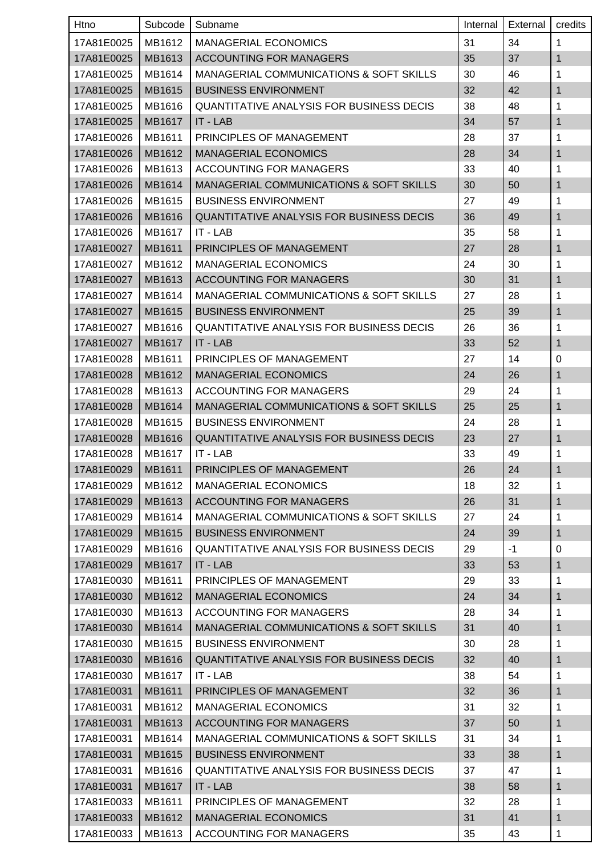| Htno       | Subcode | Subname                                            | Internal | External | credits      |
|------------|---------|----------------------------------------------------|----------|----------|--------------|
| 17A81E0025 | MB1612  | <b>MANAGERIAL ECONOMICS</b>                        | 31       | 34       | 1            |
| 17A81E0025 | MB1613  | <b>ACCOUNTING FOR MANAGERS</b>                     | 35       | 37       | $\mathbf{1}$ |
| 17A81E0025 | MB1614  | MANAGERIAL COMMUNICATIONS & SOFT SKILLS            | 30       | 46       | 1            |
| 17A81E0025 | MB1615  | <b>BUSINESS ENVIRONMENT</b>                        | 32       | 42       | $\mathbf{1}$ |
| 17A81E0025 | MB1616  | <b>QUANTITATIVE ANALYSIS FOR BUSINESS DECIS</b>    | 38       | 48       | 1            |
| 17A81E0025 | MB1617  | IT - LAB                                           | 34       | 57       | 1            |
| 17A81E0026 | MB1611  | PRINCIPLES OF MANAGEMENT                           | 28       | 37       | 1            |
| 17A81E0026 | MB1612  | <b>MANAGERIAL ECONOMICS</b>                        | 28       | 34       | $\mathbf{1}$ |
| 17A81E0026 | MB1613  | <b>ACCOUNTING FOR MANAGERS</b>                     | 33       | 40       | 1            |
| 17A81E0026 | MB1614  | <b>MANAGERIAL COMMUNICATIONS &amp; SOFT SKILLS</b> | 30       | 50       | $\mathbf{1}$ |
| 17A81E0026 | MB1615  | <b>BUSINESS ENVIRONMENT</b>                        | 27       | 49       | 1            |
| 17A81E0026 | MB1616  | <b>QUANTITATIVE ANALYSIS FOR BUSINESS DECIS</b>    | 36       | 49       | 1            |
| 17A81E0026 | MB1617  | IT - LAB                                           | 35       | 58       | 1            |
| 17A81E0027 | MB1611  | PRINCIPLES OF MANAGEMENT                           | 27       | 28       | $\mathbf{1}$ |
| 17A81E0027 | MB1612  | <b>MANAGERIAL ECONOMICS</b>                        | 24       | 30       | 1            |
| 17A81E0027 | MB1613  | <b>ACCOUNTING FOR MANAGERS</b>                     | 30       | 31       | 1            |
| 17A81E0027 | MB1614  | MANAGERIAL COMMUNICATIONS & SOFT SKILLS            | 27       | 28       | 1            |
| 17A81E0027 | MB1615  | <b>BUSINESS ENVIRONMENT</b>                        | 25       | 39       | $\mathbf{1}$ |
| 17A81E0027 | MB1616  | <b>QUANTITATIVE ANALYSIS FOR BUSINESS DECIS</b>    | 26       | 36       | 1            |
| 17A81E0027 | MB1617  | IT - LAB                                           | 33       | 52       | $\mathbf{1}$ |
| 17A81E0028 | MB1611  | PRINCIPLES OF MANAGEMENT                           | 27       | 14       | 0            |
| 17A81E0028 | MB1612  | <b>MANAGERIAL ECONOMICS</b>                        | 24       | 26       | 1            |
| 17A81E0028 | MB1613  | ACCOUNTING FOR MANAGERS                            | 29       | 24       | 1            |
| 17A81E0028 | MB1614  | <b>MANAGERIAL COMMUNICATIONS &amp; SOFT SKILLS</b> | 25       | 25       | $\mathbf{1}$ |
| 17A81E0028 | MB1615  | <b>BUSINESS ENVIRONMENT</b>                        | 24       | 28       | 1            |
| 17A81E0028 | MB1616  | <b>QUANTITATIVE ANALYSIS FOR BUSINESS DECIS</b>    | 23       | 27       | 1            |
| 17A81E0028 | MB1617  | IT - LAB                                           | 33       | 49       | 1            |
| 17A81E0029 | MB1611  | PRINCIPLES OF MANAGEMENT                           | 26       | 24       | $\mathbf{1}$ |
| 17A81E0029 | MB1612  | <b>MANAGERIAL ECONOMICS</b>                        | 18       | 32       | 1            |
| 17A81E0029 | MB1613  | <b>ACCOUNTING FOR MANAGERS</b>                     | 26       | 31       | $\mathbf{1}$ |
| 17A81E0029 | MB1614  | MANAGERIAL COMMUNICATIONS & SOFT SKILLS            | 27       | 24       | $\mathbf{1}$ |
| 17A81E0029 | MB1615  | <b>BUSINESS ENVIRONMENT</b>                        | 24       | 39       | $\mathbf{1}$ |
| 17A81E0029 | MB1616  | <b>QUANTITATIVE ANALYSIS FOR BUSINESS DECIS</b>    | 29       | $-1$     | 0            |
| 17A81E0029 | MB1617  | IT - LAB                                           | 33       | 53       | $\mathbf{1}$ |
| 17A81E0030 | MB1611  | PRINCIPLES OF MANAGEMENT                           | 29       | 33       | $\mathbf{1}$ |
| 17A81E0030 | MB1612  | <b>MANAGERIAL ECONOMICS</b>                        | 24       | 34       | $\mathbf{1}$ |
| 17A81E0030 | MB1613  | ACCOUNTING FOR MANAGERS                            | 28       | 34       | $\mathbf{1}$ |
| 17A81E0030 | MB1614  | MANAGERIAL COMMUNICATIONS & SOFT SKILLS            | 31       | 40       | $\mathbf{1}$ |
| 17A81E0030 | MB1615  | <b>BUSINESS ENVIRONMENT</b>                        | 30       | 28       | $\mathbf{1}$ |
| 17A81E0030 | MB1616  | QUANTITATIVE ANALYSIS FOR BUSINESS DECIS           | 32       | 40       | $\mathbf{1}$ |
| 17A81E0030 | MB1617  | IT - LAB                                           | 38       | 54       | 1            |
| 17A81E0031 | MB1611  | PRINCIPLES OF MANAGEMENT                           | 32       | 36       | $\mathbf{1}$ |
| 17A81E0031 | MB1612  | <b>MANAGERIAL ECONOMICS</b>                        | 31       | 32       | 1            |
| 17A81E0031 | MB1613  | <b>ACCOUNTING FOR MANAGERS</b>                     | 37       | 50       | 1            |
| 17A81E0031 | MB1614  | MANAGERIAL COMMUNICATIONS & SOFT SKILLS            | 31       | 34       | $\mathbf{1}$ |
| 17A81E0031 | MB1615  | <b>BUSINESS ENVIRONMENT</b>                        | 33       | 38       | $\mathbf{1}$ |
| 17A81E0031 | MB1616  | QUANTITATIVE ANALYSIS FOR BUSINESS DECIS           | 37       | 47       | $\mathbf{1}$ |
| 17A81E0031 | MB1617  | IT - LAB                                           | 38       | 58       | $\mathbf{1}$ |
| 17A81E0033 | MB1611  | PRINCIPLES OF MANAGEMENT                           | 32       | 28       | $\mathbf{1}$ |
| 17A81E0033 | MB1612  | <b>MANAGERIAL ECONOMICS</b>                        | 31       | 41       | $\mathbf{1}$ |
| 17A81E0033 | MB1613  | <b>ACCOUNTING FOR MANAGERS</b>                     | 35       | 43       | $\mathbf{1}$ |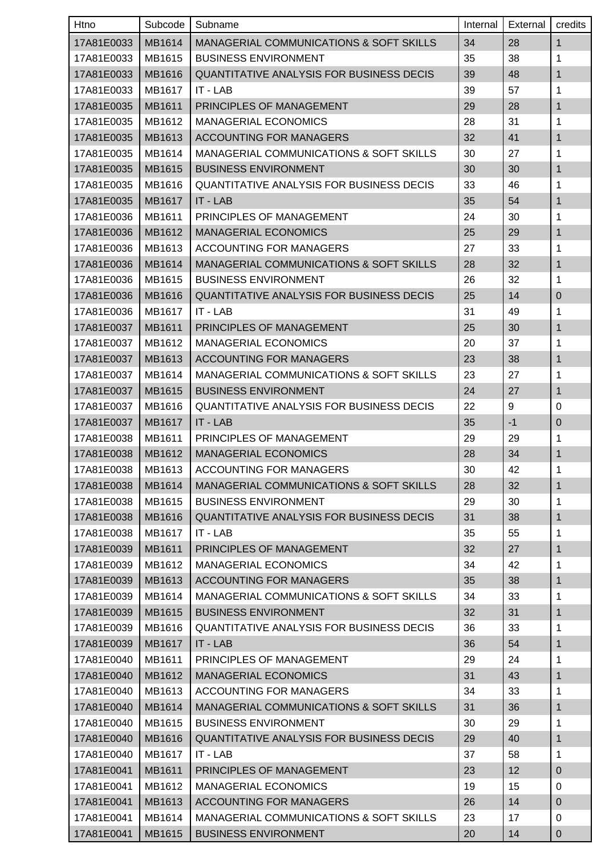| Htno       | Subcode | Subname                                            | Internal | External | credits          |
|------------|---------|----------------------------------------------------|----------|----------|------------------|
| 17A81E0033 | MB1614  | <b>MANAGERIAL COMMUNICATIONS &amp; SOFT SKILLS</b> | 34       | 28       | $\mathbf{1}$     |
| 17A81E0033 | MB1615  | <b>BUSINESS ENVIRONMENT</b>                        | 35       | 38       | 1                |
| 17A81E0033 | MB1616  | <b>QUANTITATIVE ANALYSIS FOR BUSINESS DECIS</b>    | 39       | 48       | 1                |
| 17A81E0033 | MB1617  | IT - LAB                                           | 39       | 57       | 1                |
| 17A81E0035 | MB1611  | PRINCIPLES OF MANAGEMENT                           | 29       | 28       | 1                |
| 17A81E0035 | MB1612  | <b>MANAGERIAL ECONOMICS</b>                        | 28       | 31       | 1                |
| 17A81E0035 | MB1613  | <b>ACCOUNTING FOR MANAGERS</b>                     | 32       | 41       | 1                |
| 17A81E0035 | MB1614  | MANAGERIAL COMMUNICATIONS & SOFT SKILLS            | 30       | 27       | 1                |
| 17A81E0035 | MB1615  | <b>BUSINESS ENVIRONMENT</b>                        | 30       | 30       | 1                |
| 17A81E0035 | MB1616  | <b>QUANTITATIVE ANALYSIS FOR BUSINESS DECIS</b>    | 33       | 46       | 1                |
| 17A81E0035 | MB1617  | IT - LAB                                           | 35       | 54       | 1                |
| 17A81E0036 | MB1611  | PRINCIPLES OF MANAGEMENT                           | 24       | 30       | 1                |
| 17A81E0036 | MB1612  | <b>MANAGERIAL ECONOMICS</b>                        | 25       | 29       | $\mathbf{1}$     |
| 17A81E0036 | MB1613  | <b>ACCOUNTING FOR MANAGERS</b>                     | 27       | 33       | 1                |
| 17A81E0036 | MB1614  | <b>MANAGERIAL COMMUNICATIONS &amp; SOFT SKILLS</b> | 28       | 32       | 1                |
| 17A81E0036 | MB1615  | <b>BUSINESS ENVIRONMENT</b>                        | 26       | 32       | 1                |
| 17A81E0036 | MB1616  | <b>QUANTITATIVE ANALYSIS FOR BUSINESS DECIS</b>    | 25       | 14       | $\overline{0}$   |
| 17A81E0036 | MB1617  | IT - LAB                                           | 31       | 49       | 1                |
| 17A81E0037 | MB1611  | PRINCIPLES OF MANAGEMENT                           | 25       | 30       | 1                |
| 17A81E0037 | MB1612  | <b>MANAGERIAL ECONOMICS</b>                        | 20       | 37       | 1                |
| 17A81E0037 | MB1613  | <b>ACCOUNTING FOR MANAGERS</b>                     | 23       | 38       | 1                |
| 17A81E0037 | MB1614  | MANAGERIAL COMMUNICATIONS & SOFT SKILLS            | 23       | 27       | 1                |
| 17A81E0037 | MB1615  | <b>BUSINESS ENVIRONMENT</b>                        | 24       | 27       | $\mathbf{1}$     |
| 17A81E0037 | MB1616  | <b>QUANTITATIVE ANALYSIS FOR BUSINESS DECIS</b>    | 22       | 9        | 0                |
| 17A81E0037 | MB1617  | IT - LAB                                           | 35       | $-1$     | $\pmb{0}$        |
| 17A81E0038 | MB1611  | PRINCIPLES OF MANAGEMENT                           | 29       | 29       | 1                |
| 17A81E0038 | MB1612  | <b>MANAGERIAL ECONOMICS</b>                        | 28       | 34       | 1                |
| 17A81E0038 | MB1613  | <b>ACCOUNTING FOR MANAGERS</b>                     | 30       | 42       | 1                |
| 17A81E0038 | MB1614  | MANAGERIAL COMMUNICATIONS & SOFT SKILLS            | 28       | 32       | $\mathbf{1}$     |
| 17A81E0038 | MB1615  | <b>BUSINESS ENVIRONMENT</b>                        | 29       | 30       | 1                |
| 17A81E0038 | MB1616  | QUANTITATIVE ANALYSIS FOR BUSINESS DECIS           | 31       | 38       | 1                |
| 17A81E0038 | MB1617  | IT - LAB                                           | 35       | 55       | 1                |
| 17A81E0039 | MB1611  | PRINCIPLES OF MANAGEMENT                           | 32       | 27       | 1                |
| 17A81E0039 | MB1612  | <b>MANAGERIAL ECONOMICS</b>                        | 34       | 42       | 1                |
| 17A81E0039 | MB1613  | <b>ACCOUNTING FOR MANAGERS</b>                     | 35       | 38       | 1                |
| 17A81E0039 | MB1614  | <b>MANAGERIAL COMMUNICATIONS &amp; SOFT SKILLS</b> | 34       | 33       | 1                |
| 17A81E0039 | MB1615  | <b>BUSINESS ENVIRONMENT</b>                        | 32       | 31       | 1                |
| 17A81E0039 | MB1616  | <b>QUANTITATIVE ANALYSIS FOR BUSINESS DECIS</b>    | 36       | 33       | 1                |
| 17A81E0039 | MB1617  | $IT - LAB$                                         | 36       | 54       | 1                |
| 17A81E0040 | MB1611  | PRINCIPLES OF MANAGEMENT                           | 29       | 24       | 1                |
| 17A81E0040 | MB1612  | <b>MANAGERIAL ECONOMICS</b>                        | 31       | 43       | 1                |
| 17A81E0040 | MB1613  | <b>ACCOUNTING FOR MANAGERS</b>                     | 34       | 33       | 1                |
| 17A81E0040 | MB1614  | MANAGERIAL COMMUNICATIONS & SOFT SKILLS            | 31       | 36       | 1                |
| 17A81E0040 | MB1615  | <b>BUSINESS ENVIRONMENT</b>                        | 30       | 29       | 1                |
| 17A81E0040 | MB1616  | QUANTITATIVE ANALYSIS FOR BUSINESS DECIS           | 29       | 40       | 1                |
| 17A81E0040 | MB1617  | IT - LAB                                           | 37       | 58       | 1                |
| 17A81E0041 | MB1611  | PRINCIPLES OF MANAGEMENT                           | 23       | 12       | $\pmb{0}$        |
| 17A81E0041 | MB1612  | <b>MANAGERIAL ECONOMICS</b>                        | 19       | 15       | $\mathbf 0$      |
| 17A81E0041 | MB1613  | <b>ACCOUNTING FOR MANAGERS</b>                     | 26       | 14       | $\pmb{0}$        |
| 17A81E0041 | MB1614  | MANAGERIAL COMMUNICATIONS & SOFT SKILLS            | 23       | 17       | 0                |
| 17A81E0041 | MB1615  | <b>BUSINESS ENVIRONMENT</b>                        | 20       | 14       | $\boldsymbol{0}$ |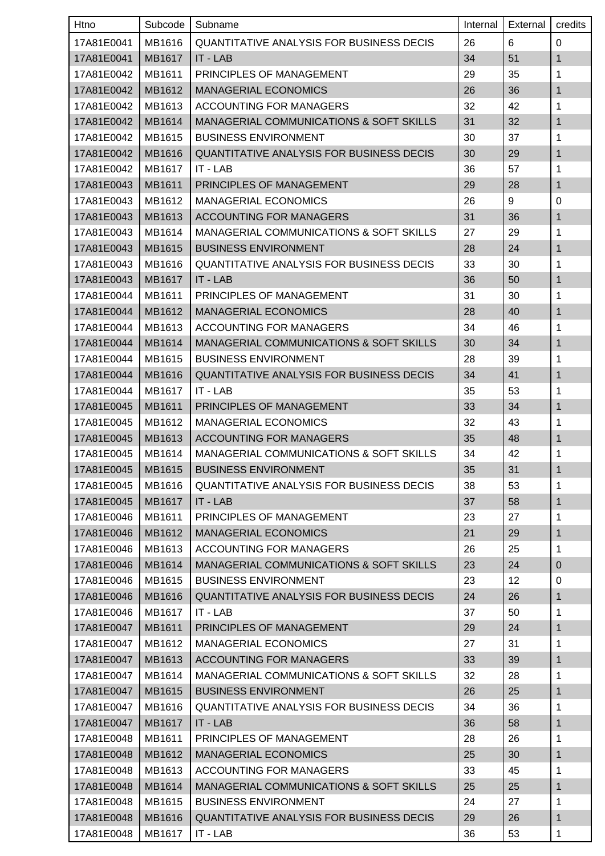| Htno       | Subcode       | Subname                                            | Internal | External | credits      |
|------------|---------------|----------------------------------------------------|----------|----------|--------------|
| 17A81E0041 | MB1616        | <b>QUANTITATIVE ANALYSIS FOR BUSINESS DECIS</b>    | 26       | 6        | 0            |
| 17A81E0041 | <b>MB1617</b> | IT - LAB                                           | 34       | 51       | 1            |
| 17A81E0042 | MB1611        | PRINCIPLES OF MANAGEMENT                           | 29       | 35       | 1            |
| 17A81E0042 | MB1612        | <b>MANAGERIAL ECONOMICS</b>                        | 26       | 36       | 1            |
| 17A81E0042 | MB1613        | ACCOUNTING FOR MANAGERS                            | 32       | 42       | 1            |
| 17A81E0042 | MB1614        | <b>MANAGERIAL COMMUNICATIONS &amp; SOFT SKILLS</b> | 31       | 32       | 1            |
| 17A81E0042 | MB1615        | <b>BUSINESS ENVIRONMENT</b>                        | 30       | 37       | 1            |
| 17A81E0042 | MB1616        | QUANTITATIVE ANALYSIS FOR BUSINESS DECIS           | 30       | 29       | 1            |
| 17A81E0042 | MB1617        | IT - LAB                                           | 36       | 57       | 1            |
| 17A81E0043 | MB1611        | PRINCIPLES OF MANAGEMENT                           | 29       | 28       | 1            |
| 17A81E0043 | MB1612        | <b>MANAGERIAL ECONOMICS</b>                        | 26       | 9        | 0            |
| 17A81E0043 | MB1613        | <b>ACCOUNTING FOR MANAGERS</b>                     | 31       | 36       | 1            |
| 17A81E0043 | MB1614        | <b>MANAGERIAL COMMUNICATIONS &amp; SOFT SKILLS</b> | 27       | 29       | 1            |
| 17A81E0043 | MB1615        | <b>BUSINESS ENVIRONMENT</b>                        | 28       | 24       | $\mathbf{1}$ |
| 17A81E0043 | MB1616        | <b>QUANTITATIVE ANALYSIS FOR BUSINESS DECIS</b>    | 33       | 30       | 1            |
| 17A81E0043 | MB1617        | IT - LAB                                           | 36       | 50       | 1            |
| 17A81E0044 | MB1611        | PRINCIPLES OF MANAGEMENT                           | 31       | 30       | 1            |
| 17A81E0044 | MB1612        | <b>MANAGERIAL ECONOMICS</b>                        | 28       | 40       | 1            |
| 17A81E0044 | MB1613        | ACCOUNTING FOR MANAGERS                            | 34       | 46       | 1            |
| 17A81E0044 | MB1614        | MANAGERIAL COMMUNICATIONS & SOFT SKILLS            | 30       | 34       | 1            |
| 17A81E0044 | MB1615        | <b>BUSINESS ENVIRONMENT</b>                        | 28       | 39       | 1            |
| 17A81E0044 | <b>MB1616</b> | <b>QUANTITATIVE ANALYSIS FOR BUSINESS DECIS</b>    | 34       | 41       | 1            |
| 17A81E0044 | MB1617        | IT - LAB                                           | 35       | 53       | 1            |
| 17A81E0045 | MB1611        | PRINCIPLES OF MANAGEMENT                           | 33       | 34       | 1            |
| 17A81E0045 | MB1612        | <b>MANAGERIAL ECONOMICS</b>                        | 32       | 43       | 1            |
| 17A81E0045 | MB1613        | <b>ACCOUNTING FOR MANAGERS</b>                     | 35       | 48       | 1            |
| 17A81E0045 | MB1614        | <b>MANAGERIAL COMMUNICATIONS &amp; SOFT SKILLS</b> | 34       | 42       | $\mathbf 1$  |
| 17A81E0045 | MB1615        | <b>BUSINESS ENVIRONMENT</b>                        | 35       | 31       | 1            |
| 17A81E0045 | MB1616        | <b>QUANTITATIVE ANALYSIS FOR BUSINESS DECIS</b>    | 38       | 53       | 1            |
| 17A81E0045 | MB1617        | IT - LAB                                           | 37       | 58       | $\mathbf{1}$ |
| 17A81E0046 | MB1611        | PRINCIPLES OF MANAGEMENT                           | 23       | 27       | 1            |
| 17A81E0046 | MB1612        | <b>MANAGERIAL ECONOMICS</b>                        | 21       | 29       | 1            |
| 17A81E0046 | MB1613        | ACCOUNTING FOR MANAGERS                            | 26       | 25       | 1            |
| 17A81E0046 | MB1614        | MANAGERIAL COMMUNICATIONS & SOFT SKILLS            | 23       | 24       | $\mathbf 0$  |
| 17A81E0046 | MB1615        | <b>BUSINESS ENVIRONMENT</b>                        | 23       | 12       | $\mathbf 0$  |
| 17A81E0046 | MB1616        | <b>QUANTITATIVE ANALYSIS FOR BUSINESS DECIS</b>    | 24       | 26       | $\mathbf{1}$ |
| 17A81E0046 | MB1617        | IT - LAB                                           | 37       | 50       | 1            |
| 17A81E0047 | MB1611        | PRINCIPLES OF MANAGEMENT                           | 29       | 24       | 1            |
| 17A81E0047 | MB1612        | <b>MANAGERIAL ECONOMICS</b>                        | 27       | 31       | 1            |
| 17A81E0047 | MB1613        | <b>ACCOUNTING FOR MANAGERS</b>                     | 33       | 39       | 1            |
| 17A81E0047 | MB1614        | MANAGERIAL COMMUNICATIONS & SOFT SKILLS            | 32       | 28       | 1            |
| 17A81E0047 | MB1615        | <b>BUSINESS ENVIRONMENT</b>                        | 26       | 25       | $\mathbf 1$  |
| 17A81E0047 | MB1616        | <b>QUANTITATIVE ANALYSIS FOR BUSINESS DECIS</b>    | 34       | 36       | 1            |
| 17A81E0047 | MB1617        | IT - LAB                                           | 36       | 58       | 1            |
| 17A81E0048 | MB1611        | PRINCIPLES OF MANAGEMENT                           | 28       | 26       | 1            |
| 17A81E0048 | MB1612        | <b>MANAGERIAL ECONOMICS</b>                        | 25       | 30       | $\mathbf{1}$ |
| 17A81E0048 | MB1613        | ACCOUNTING FOR MANAGERS                            | 33       | 45       | 1            |
| 17A81E0048 | MB1614        | MANAGERIAL COMMUNICATIONS & SOFT SKILLS            | 25       | 25       | 1            |
| 17A81E0048 | MB1615        | <b>BUSINESS ENVIRONMENT</b>                        | 24       | 27       | $\mathbf{1}$ |
| 17A81E0048 | MB1616        | QUANTITATIVE ANALYSIS FOR BUSINESS DECIS           | 29       | 26       | 1            |
| 17A81E0048 | MB1617        | IT - LAB                                           | 36       | 53       | 1            |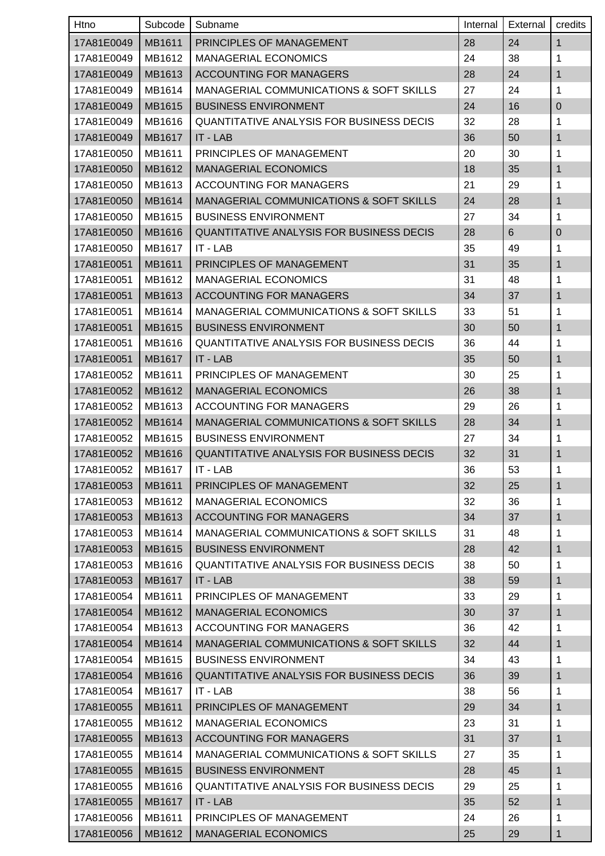| Htno       | Subcode | Subname                                            | Internal | External | credits      |
|------------|---------|----------------------------------------------------|----------|----------|--------------|
| 17A81E0049 | MB1611  | PRINCIPLES OF MANAGEMENT                           | 28       | 24       | $\mathbf{1}$ |
| 17A81E0049 | MB1612  | <b>MANAGERIAL ECONOMICS</b>                        | 24       | 38       | 1            |
| 17A81E0049 | MB1613  | <b>ACCOUNTING FOR MANAGERS</b>                     | 28       | 24       | 1            |
| 17A81E0049 | MB1614  | MANAGERIAL COMMUNICATIONS & SOFT SKILLS            | 27       | 24       | 1            |
| 17A81E0049 | MB1615  | <b>BUSINESS ENVIRONMENT</b>                        | 24       | 16       | $\pmb{0}$    |
| 17A81E0049 | MB1616  | <b>QUANTITATIVE ANALYSIS FOR BUSINESS DECIS</b>    | 32       | 28       | 1            |
| 17A81E0049 | MB1617  | IT - LAB                                           | 36       | 50       | 1            |
| 17A81E0050 | MB1611  | PRINCIPLES OF MANAGEMENT                           | 20       | 30       | 1            |
| 17A81E0050 | MB1612  | <b>MANAGERIAL ECONOMICS</b>                        | 18       | 35       | 1            |
| 17A81E0050 | MB1613  | <b>ACCOUNTING FOR MANAGERS</b>                     | 21       | 29       | 1            |
| 17A81E0050 | MB1614  | MANAGERIAL COMMUNICATIONS & SOFT SKILLS            | 24       | 28       | 1            |
| 17A81E0050 | MB1615  | <b>BUSINESS ENVIRONMENT</b>                        | 27       | 34       | 1            |
| 17A81E0050 | MB1616  | <b>QUANTITATIVE ANALYSIS FOR BUSINESS DECIS</b>    | 28       | 6        | $\mathbf 0$  |
| 17A81E0050 | MB1617  | IT - LAB                                           | 35       | 49       | 1            |
| 17A81E0051 | MB1611  | PRINCIPLES OF MANAGEMENT                           | 31       | 35       | 1            |
| 17A81E0051 | MB1612  | <b>MANAGERIAL ECONOMICS</b>                        | 31       | 48       | 1            |
| 17A81E0051 | MB1613  | <b>ACCOUNTING FOR MANAGERS</b>                     | 34       | 37       | 1            |
| 17A81E0051 | MB1614  | MANAGERIAL COMMUNICATIONS & SOFT SKILLS            | 33       | 51       | 1            |
| 17A81E0051 | MB1615  | <b>BUSINESS ENVIRONMENT</b>                        | 30       | 50       | 1            |
| 17A81E0051 | MB1616  | <b>QUANTITATIVE ANALYSIS FOR BUSINESS DECIS</b>    | 36       | 44       | 1            |
| 17A81E0051 | MB1617  | IT - LAB                                           | 35       | 50       | 1            |
| 17A81E0052 | MB1611  | PRINCIPLES OF MANAGEMENT                           | 30       | 25       | 1            |
| 17A81E0052 | MB1612  | <b>MANAGERIAL ECONOMICS</b>                        | 26       | 38       | 1            |
| 17A81E0052 | MB1613  | ACCOUNTING FOR MANAGERS                            | 29       | 26       | 1            |
| 17A81E0052 | MB1614  | <b>MANAGERIAL COMMUNICATIONS &amp; SOFT SKILLS</b> | 28       | 34       | 1            |
| 17A81E0052 | MB1615  | <b>BUSINESS ENVIRONMENT</b>                        | 27       | 34       | 1            |
| 17A81E0052 | MB1616  | QUANTITATIVE ANALYSIS FOR BUSINESS DECIS           | 32       | 31       | 1            |
| 17A81E0052 | MB1617  | l IT - LAB                                         | 36       | 53       | 1            |
| 17A81E0053 | MB1611  | PRINCIPLES OF MANAGEMENT                           | 32       | 25       | $\mathbf{1}$ |
| 17A81E0053 | MB1612  | <b>MANAGERIAL ECONOMICS</b>                        | 32       | 36       | 1            |
| 17A81E0053 | MB1613  | <b>ACCOUNTING FOR MANAGERS</b>                     | 34       | 37       | $\mathbf 1$  |
| 17A81E0053 | MB1614  | MANAGERIAL COMMUNICATIONS & SOFT SKILLS            | 31       | 48       | 1            |
| 17A81E0053 | MB1615  | <b>BUSINESS ENVIRONMENT</b>                        | 28       | 42       | 1            |
| 17A81E0053 | MB1616  | <b>QUANTITATIVE ANALYSIS FOR BUSINESS DECIS</b>    | 38       | 50       | 1            |
| 17A81E0053 | MB1617  | IT - LAB                                           | 38       | 59       | 1            |
| 17A81E0054 | MB1611  | PRINCIPLES OF MANAGEMENT                           | 33       | 29       | 1            |
| 17A81E0054 | MB1612  | <b>MANAGERIAL ECONOMICS</b>                        | 30       | 37       | 1            |
| 17A81E0054 | MB1613  | ACCOUNTING FOR MANAGERS                            | 36       | 42       | 1            |
| 17A81E0054 | MB1614  | MANAGERIAL COMMUNICATIONS & SOFT SKILLS            | 32       | 44       | 1            |
| 17A81E0054 | MB1615  | <b>BUSINESS ENVIRONMENT</b>                        | 34       | 43       | 1            |
| 17A81E0054 | MB1616  | QUANTITATIVE ANALYSIS FOR BUSINESS DECIS           | 36       | 39       | 1            |
| 17A81E0054 | MB1617  | IT - LAB                                           | 38       | 56       | 1            |
| 17A81E0055 | MB1611  | PRINCIPLES OF MANAGEMENT                           | 29       | 34       | 1            |
| 17A81E0055 | MB1612  | <b>MANAGERIAL ECONOMICS</b>                        | 23       | 31       | 1            |
| 17A81E0055 | MB1613  | <b>ACCOUNTING FOR MANAGERS</b>                     | 31       | 37       | 1            |
| 17A81E0055 | MB1614  | MANAGERIAL COMMUNICATIONS & SOFT SKILLS            | 27       | 35       | 1            |
| 17A81E0055 | MB1615  | <b>BUSINESS ENVIRONMENT</b>                        | 28       | 45       | 1            |
| 17A81E0055 | MB1616  | <b>QUANTITATIVE ANALYSIS FOR BUSINESS DECIS</b>    | 29       | 25       | 1            |
| 17A81E0055 | MB1617  | IT - LAB                                           | 35       | 52       | 1            |
| 17A81E0056 | MB1611  | PRINCIPLES OF MANAGEMENT                           | 24       | 26       | 1            |
| 17A81E0056 | MB1612  | <b>MANAGERIAL ECONOMICS</b>                        | 25       | 29       | 1            |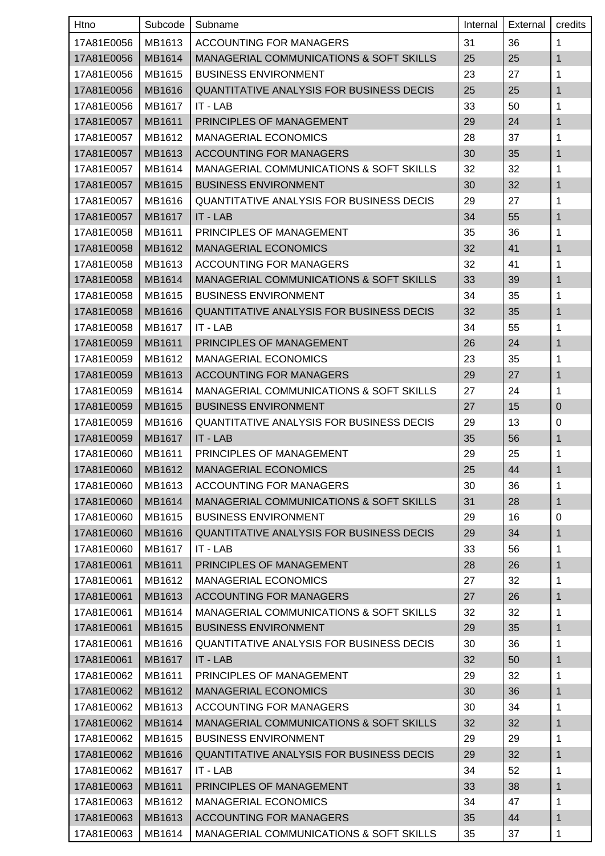| Htno                | Subcode | Subname                                            | Internal | External | credits      |
|---------------------|---------|----------------------------------------------------|----------|----------|--------------|
| 17A81E0056          | MB1613  | ACCOUNTING FOR MANAGERS                            | 31       | 36       | $\mathbf{1}$ |
| 17A81E0056          | MB1614  | <b>MANAGERIAL COMMUNICATIONS &amp; SOFT SKILLS</b> | 25       | 25       | 1            |
| 17A81E0056          | MB1615  | <b>BUSINESS ENVIRONMENT</b>                        | 23       | 27       | 1            |
| 17A81E0056          | MB1616  | QUANTITATIVE ANALYSIS FOR BUSINESS DECIS           | 25       | 25       | $\mathbf{1}$ |
| 17A81E0056          | MB1617  | IT - LAB                                           | 33       | 50       | 1            |
| 17A81E0057          | MB1611  | PRINCIPLES OF MANAGEMENT                           | 29       | 24       | 1            |
| 17A81E0057          | MB1612  | <b>MANAGERIAL ECONOMICS</b>                        | 28       | 37       | 1            |
| 17A81E0057          | MB1613  | <b>ACCOUNTING FOR MANAGERS</b>                     | 30       | 35       | $\mathbf{1}$ |
| 17A81E0057          | MB1614  | MANAGERIAL COMMUNICATIONS & SOFT SKILLS            | 32       | 32       | 1            |
| 17A81E0057          | MB1615  | <b>BUSINESS ENVIRONMENT</b>                        | 30       | 32       | $\mathbf{1}$ |
| 17A81E0057          | MB1616  | <b>QUANTITATIVE ANALYSIS FOR BUSINESS DECIS</b>    | 29       | 27       | 1            |
| 17A81E0057          | MB1617  | IT - LAB                                           | 34       | 55       | $\mathbf{1}$ |
| 17A81E0058          | MB1611  | PRINCIPLES OF MANAGEMENT                           | 35       | 36       | 1            |
| 17A81E0058          | MB1612  | <b>MANAGERIAL ECONOMICS</b>                        | 32       | 41       | $\mathbf{1}$ |
| 17A81E0058          | MB1613  | ACCOUNTING FOR MANAGERS                            | 32       | 41       | 1            |
| 17A81E0058          | MB1614  | <b>MANAGERIAL COMMUNICATIONS &amp; SOFT SKILLS</b> | 33       | 39       | 1            |
| 17A81E0058          | MB1615  | <b>BUSINESS ENVIRONMENT</b>                        | 34       | 35       | 1            |
| 17A81E0058          | MB1616  | <b>QUANTITATIVE ANALYSIS FOR BUSINESS DECIS</b>    | 32       | 35       | $\mathbf{1}$ |
| 17A81E0058          | MB1617  | IT - LAB                                           | 34       | 55       | 1            |
| 17A81E0059          | MB1611  | PRINCIPLES OF MANAGEMENT                           | 26       | 24       | $\mathbf{1}$ |
| 17A81E0059          | MB1612  | <b>MANAGERIAL ECONOMICS</b>                        | 23       | 35       | 1            |
| 17A81E0059          | MB1613  | <b>ACCOUNTING FOR MANAGERS</b>                     | 29       | 27       | 1            |
| 17A81E0059          | MB1614  | MANAGERIAL COMMUNICATIONS & SOFT SKILLS            | 27       | 24       | 1            |
| 17A81E0059          | MB1615  | <b>BUSINESS ENVIRONMENT</b>                        | 27       | 15       | $\mathbf 0$  |
| 17A81E0059          | MB1616  | <b>QUANTITATIVE ANALYSIS FOR BUSINESS DECIS</b>    | 29       | 13       | 0            |
| 17A81E0059          | MB1617  | <b>IT - LAB</b>                                    | 35       | 56       | 1            |
| 17A81E0060          | MB1611  | PRINCIPLES OF MANAGEMENT                           | 29       | 25       | $\mathbf 1$  |
| 17A81E0060   MB1612 |         | <b>MANAGERIAL ECONOMICS</b>                        | 25       | 44       | $\mathbf{1}$ |
| 17A81E0060          | MB1613  | ACCOUNTING FOR MANAGERS                            | 30       | 36       | 1            |
| 17A81E0060          | MB1614  | MANAGERIAL COMMUNICATIONS & SOFT SKILLS            | 31       | 28       | $\mathbf{1}$ |
| 17A81E0060          | MB1615  | <b>BUSINESS ENVIRONMENT</b>                        | 29       | 16       | 0            |
| 17A81E0060          | MB1616  | QUANTITATIVE ANALYSIS FOR BUSINESS DECIS           | 29       | 34       | $\mathbf{1}$ |
| 17A81E0060          | MB1617  | IT - LAB                                           | 33       | 56       | 1            |
| 17A81E0061          | MB1611  | PRINCIPLES OF MANAGEMENT                           | 28       | 26       | $\mathbf{1}$ |
| 17A81E0061          | MB1612  | MANAGERIAL ECONOMICS                               | 27       | 32       | $\mathbf{1}$ |
| 17A81E0061          | MB1613  | <b>ACCOUNTING FOR MANAGERS</b>                     | 27       | 26       | $\mathbf{1}$ |
| 17A81E0061          | MB1614  | MANAGERIAL COMMUNICATIONS & SOFT SKILLS            | 32       | 32       | $\mathbf 1$  |
| 17A81E0061          | MB1615  | <b>BUSINESS ENVIRONMENT</b>                        | 29       | 35       | 1            |
| 17A81E0061          | MB1616  | <b>QUANTITATIVE ANALYSIS FOR BUSINESS DECIS</b>    | 30       | 36       | $\mathbf{1}$ |
| 17A81E0061          | MB1617  | IT - LAB                                           | 32       | 50       | $\mathbf{1}$ |
| 17A81E0062          | MB1611  | PRINCIPLES OF MANAGEMENT                           | 29       | 32       | 1            |
| 17A81E0062          | MB1612  | <b>MANAGERIAL ECONOMICS</b>                        | 30       | 36       | $\mathbf{1}$ |
| 17A81E0062          | MB1613  | ACCOUNTING FOR MANAGERS                            | 30       | 34       | 1            |
| 17A81E0062          | MB1614  | MANAGERIAL COMMUNICATIONS & SOFT SKILLS            | 32       | 32       | $\mathbf{1}$ |
| 17A81E0062          | MB1615  | <b>BUSINESS ENVIRONMENT</b>                        | 29       | 29       | $\mathbf{1}$ |
| 17A81E0062          | MB1616  | QUANTITATIVE ANALYSIS FOR BUSINESS DECIS           | 29       | 32       | $\mathbf{1}$ |
| 17A81E0062          | MB1617  | IT - LAB                                           | 34       | 52       | $\mathbf{1}$ |
| 17A81E0063          | MB1611  | PRINCIPLES OF MANAGEMENT                           | 33       | 38       | 1            |
| 17A81E0063          | MB1612  | <b>MANAGERIAL ECONOMICS</b>                        | 34       | 47       | $\mathbf{1}$ |
| 17A81E0063          | MB1613  | <b>ACCOUNTING FOR MANAGERS</b>                     | 35       | 44       | $\mathbf{1}$ |
| 17A81E0063          | MB1614  | MANAGERIAL COMMUNICATIONS & SOFT SKILLS            | 35       | 37       | 1            |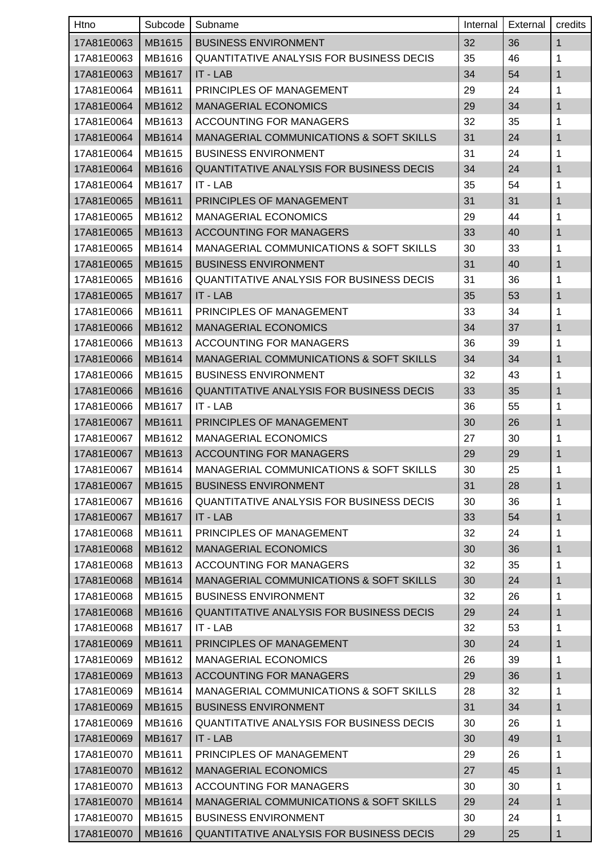| Htno       | Subcode       | Subname                                            | Internal | External | credits      |
|------------|---------------|----------------------------------------------------|----------|----------|--------------|
| 17A81E0063 | MB1615        | <b>BUSINESS ENVIRONMENT</b>                        | 32       | 36       | $\mathbf{1}$ |
| 17A81E0063 | MB1616        | <b>QUANTITATIVE ANALYSIS FOR BUSINESS DECIS</b>    | 35       | 46       | 1            |
| 17A81E0063 | MB1617        | IT - LAB                                           | 34       | 54       | 1            |
| 17A81E0064 | MB1611        | PRINCIPLES OF MANAGEMENT                           | 29       | 24       | 1            |
| 17A81E0064 | MB1612        | <b>MANAGERIAL ECONOMICS</b>                        | 29       | 34       | 1            |
| 17A81E0064 | MB1613        | ACCOUNTING FOR MANAGERS                            | 32       | 35       | 1            |
| 17A81E0064 | MB1614        | <b>MANAGERIAL COMMUNICATIONS &amp; SOFT SKILLS</b> | 31       | 24       | 1            |
| 17A81E0064 | MB1615        | <b>BUSINESS ENVIRONMENT</b>                        | 31       | 24       | 1            |
| 17A81E0064 | MB1616        | QUANTITATIVE ANALYSIS FOR BUSINESS DECIS           | 34       | 24       | 1            |
| 17A81E0064 | MB1617        | IT - LAB                                           | 35       | 54       | 1            |
| 17A81E0065 | MB1611        | PRINCIPLES OF MANAGEMENT                           | 31       | 31       | 1            |
| 17A81E0065 | MB1612        | <b>MANAGERIAL ECONOMICS</b>                        | 29       | 44       | 1            |
| 17A81E0065 | MB1613        | <b>ACCOUNTING FOR MANAGERS</b>                     | 33       | 40       | 1            |
| 17A81E0065 | MB1614        | <b>MANAGERIAL COMMUNICATIONS &amp; SOFT SKILLS</b> | 30       | 33       | 1            |
| 17A81E0065 | MB1615        | <b>BUSINESS ENVIRONMENT</b>                        | 31       | 40       | 1            |
| 17A81E0065 | MB1616        | <b>QUANTITATIVE ANALYSIS FOR BUSINESS DECIS</b>    | 31       | 36       | 1            |
| 17A81E0065 | <b>MB1617</b> | IT - LAB                                           | 35       | 53       | 1            |
| 17A81E0066 | MB1611        | PRINCIPLES OF MANAGEMENT                           | 33       | 34       | 1            |
| 17A81E0066 | MB1612        | <b>MANAGERIAL ECONOMICS</b>                        | 34       | 37       | 1            |
| 17A81E0066 | MB1613        | <b>ACCOUNTING FOR MANAGERS</b>                     | 36       | 39       | 1            |
| 17A81E0066 | MB1614        | MANAGERIAL COMMUNICATIONS & SOFT SKILLS            | 34       | 34       | 1            |
| 17A81E0066 | MB1615        | <b>BUSINESS ENVIRONMENT</b>                        | 32       | 43       | 1            |
| 17A81E0066 | MB1616        | <b>QUANTITATIVE ANALYSIS FOR BUSINESS DECIS</b>    | 33       | 35       | 1            |
| 17A81E0066 | MB1617        | IT - LAB                                           | 36       | 55       | 1            |
| 17A81E0067 | MB1611        | PRINCIPLES OF MANAGEMENT                           | 30       | 26       | 1            |
| 17A81E0067 | MB1612        | <b>MANAGERIAL ECONOMICS</b>                        | 27       | 30       | 1            |
| 17A81E0067 | MB1613        | <b>ACCOUNTING FOR MANAGERS</b>                     | 29       | 29       | 1            |
| 17A81E0067 | MB1614        | MANAGERIAL COMMUNICATIONS & SOFT SKILLS            | 30       | 25       | 1            |
| 17A81E0067 | MB1615        | <b>BUSINESS ENVIRONMENT</b>                        | 31       | 28       | $\mathbf{1}$ |
| 17A81E0067 | MB1616        | <b>QUANTITATIVE ANALYSIS FOR BUSINESS DECIS</b>    | 30       | 36       | 1            |
| 17A81E0067 | MB1617        | IT - LAB                                           | 33       | 54       | 1            |
| 17A81E0068 | MB1611        | PRINCIPLES OF MANAGEMENT                           | 32       | 24       | 1            |
| 17A81E0068 | MB1612        | <b>MANAGERIAL ECONOMICS</b>                        | 30       | 36       | 1            |
| 17A81E0068 | MB1613        | ACCOUNTING FOR MANAGERS                            | 32       | 35       | 1            |
| 17A81E0068 | MB1614        | MANAGERIAL COMMUNICATIONS & SOFT SKILLS            | 30       | 24       | 1            |
| 17A81E0068 | MB1615        | <b>BUSINESS ENVIRONMENT</b>                        | 32       | 26       | 1            |
| 17A81E0068 | MB1616        | QUANTITATIVE ANALYSIS FOR BUSINESS DECIS           | 29       | 24       | 1            |
| 17A81E0068 | MB1617        | IT - LAB                                           | 32       | 53       | 1            |
| 17A81E0069 | MB1611        | PRINCIPLES OF MANAGEMENT                           | 30       | 24       | 1            |
| 17A81E0069 | MB1612        | <b>MANAGERIAL ECONOMICS</b>                        | 26       | 39       | 1            |
| 17A81E0069 | MB1613        | <b>ACCOUNTING FOR MANAGERS</b>                     | 29       | 36       | 1            |
| 17A81E0069 | MB1614        | MANAGERIAL COMMUNICATIONS & SOFT SKILLS            | 28       | 32       | 1            |
| 17A81E0069 | MB1615        | <b>BUSINESS ENVIRONMENT</b>                        | 31       | 34       | 1            |
| 17A81E0069 | MB1616        | <b>QUANTITATIVE ANALYSIS FOR BUSINESS DECIS</b>    | 30       | 26       | 1            |
| 17A81E0069 | MB1617        | IT - LAB                                           | 30       | 49       | 1            |
| 17A81E0070 | MB1611        | PRINCIPLES OF MANAGEMENT                           | 29       | 26       | 1            |
| 17A81E0070 | MB1612        | <b>MANAGERIAL ECONOMICS</b>                        | 27       | 45       | 1            |
| 17A81E0070 | MB1613        | ACCOUNTING FOR MANAGERS                            | 30       | 30       | 1            |
| 17A81E0070 | MB1614        | MANAGERIAL COMMUNICATIONS & SOFT SKILLS            | 29       | 24       | $\mathbf{1}$ |
| 17A81E0070 | MB1615        | <b>BUSINESS ENVIRONMENT</b>                        | 30       | 24       | 1            |
| 17A81E0070 | MB1616        | QUANTITATIVE ANALYSIS FOR BUSINESS DECIS           | 29       | 25       | $\mathbf{1}$ |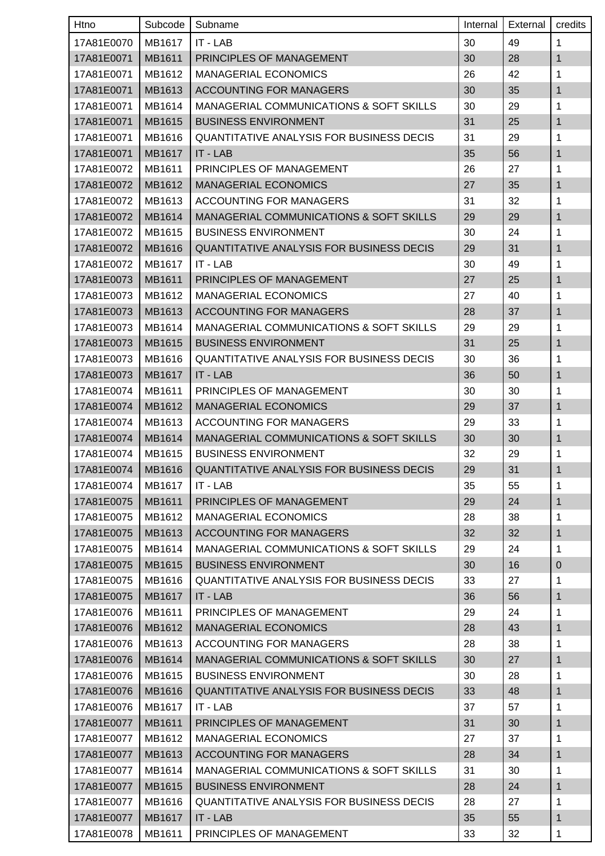| Htno       | Subcode       | Subname                                                        | Internal | External | credits          |
|------------|---------------|----------------------------------------------------------------|----------|----------|------------------|
| 17A81E0070 | MB1617        | IT - LAB                                                       | 30       | 49       | 1                |
| 17A81E0071 | MB1611        | PRINCIPLES OF MANAGEMENT                                       | 30       | 28       | 1                |
| 17A81E0071 | MB1612        | <b>MANAGERIAL ECONOMICS</b>                                    | 26       | 42       | 1                |
| 17A81E0071 | MB1613        | <b>ACCOUNTING FOR MANAGERS</b>                                 | 30       | 35       | 1                |
| 17A81E0071 | MB1614        | MANAGERIAL COMMUNICATIONS & SOFT SKILLS                        | 30       | 29       | 1                |
| 17A81E0071 | MB1615        | <b>BUSINESS ENVIRONMENT</b>                                    | 31       | 25       | 1                |
| 17A81E0071 | MB1616        | <b>QUANTITATIVE ANALYSIS FOR BUSINESS DECIS</b>                | 31       | 29       | 1                |
| 17A81E0071 | MB1617        | IT - LAB                                                       | 35       | 56       | 1                |
| 17A81E0072 | MB1611        | PRINCIPLES OF MANAGEMENT                                       | 26       | 27       | 1                |
| 17A81E0072 | MB1612        | <b>MANAGERIAL ECONOMICS</b>                                    | 27       | 35       | 1                |
| 17A81E0072 | MB1613        | ACCOUNTING FOR MANAGERS                                        | 31       | 32       | 1                |
| 17A81E0072 | MB1614        | <b>MANAGERIAL COMMUNICATIONS &amp; SOFT SKILLS</b>             | 29       | 29       | 1                |
| 17A81E0072 | MB1615        | <b>BUSINESS ENVIRONMENT</b>                                    | 30       | 24       | 1                |
| 17A81E0072 | MB1616        | QUANTITATIVE ANALYSIS FOR BUSINESS DECIS                       | 29       | 31       | 1                |
| 17A81E0072 | MB1617        | $IT - LAB$                                                     | 30       | 49       | 1                |
| 17A81E0073 | MB1611        | PRINCIPLES OF MANAGEMENT                                       | 27       | 25       | 1                |
| 17A81E0073 | MB1612        | <b>MANAGERIAL ECONOMICS</b>                                    | 27       | 40       | 1                |
| 17A81E0073 | MB1613        | <b>ACCOUNTING FOR MANAGERS</b>                                 | 28       | 37       | 1                |
| 17A81E0073 | MB1614        | <b>MANAGERIAL COMMUNICATIONS &amp; SOFT SKILLS</b>             | 29       | 29       | 1                |
| 17A81E0073 | MB1615        | <b>BUSINESS ENVIRONMENT</b>                                    | 31       | 25       | 1                |
| 17A81E0073 | MB1616        | <b>QUANTITATIVE ANALYSIS FOR BUSINESS DECIS</b>                | 30       | 36       | 1                |
| 17A81E0073 | <b>MB1617</b> | IT - LAB                                                       | 36       | 50       | 1                |
| 17A81E0074 | MB1611        | PRINCIPLES OF MANAGEMENT                                       | 30       | 30       | 1                |
| 17A81E0074 | MB1612        | <b>MANAGERIAL ECONOMICS</b>                                    | 29       | 37       | 1                |
| 17A81E0074 | MB1613        | <b>ACCOUNTING FOR MANAGERS</b>                                 | 29       | 33       | 1                |
| 17A81E0074 | MB1614        | MANAGERIAL COMMUNICATIONS & SOFT SKILLS                        | 30       | 30       | 1                |
| 17A81E0074 | MB1615        | <b>BUSINESS ENVIRONMENT</b>                                    | 32       | 29       | 1                |
|            |               | 17A81E0074   MB1616   QUANTITATIVE ANALYSIS FOR BUSINESS DECIS | 29       | 31       | 1                |
| 17A81E0074 | MB1617        | IT - LAB                                                       | 35       | 55       | 1                |
| 17A81E0075 | MB1611        | PRINCIPLES OF MANAGEMENT                                       | 29       | 24       | $\mathbf{1}$     |
| 17A81E0075 | MB1612        | <b>MANAGERIAL ECONOMICS</b>                                    | 28       | 38       | 1                |
| 17A81E0075 | MB1613        | <b>ACCOUNTING FOR MANAGERS</b>                                 | 32       | 32       | 1                |
| 17A81E0075 | MB1614        | MANAGERIAL COMMUNICATIONS & SOFT SKILLS                        | 29       | 24       | 1                |
| 17A81E0075 | MB1615        | <b>BUSINESS ENVIRONMENT</b>                                    | 30       | 16       | $\boldsymbol{0}$ |
| 17A81E0075 | MB1616        | QUANTITATIVE ANALYSIS FOR BUSINESS DECIS                       | 33       | 27       | 1                |
| 17A81E0075 | MB1617        | IT - LAB                                                       | 36       | 56       | 1                |
| 17A81E0076 | MB1611        | PRINCIPLES OF MANAGEMENT                                       | 29       | 24       | 1                |
| 17A81E0076 | MB1612        | <b>MANAGERIAL ECONOMICS</b>                                    | 28       | 43       | 1                |
| 17A81E0076 | MB1613        | ACCOUNTING FOR MANAGERS                                        | 28       | 38       | 1                |
| 17A81E0076 | MB1614        | MANAGERIAL COMMUNICATIONS & SOFT SKILLS                        | 30       | 27       | 1                |
| 17A81E0076 | MB1615        | <b>BUSINESS ENVIRONMENT</b>                                    | 30       | 28       | 1                |
| 17A81E0076 | MB1616        | QUANTITATIVE ANALYSIS FOR BUSINESS DECIS                       | 33       | 48       | 1                |
| 17A81E0076 | MB1617        | IT - LAB                                                       | 37       | 57       | 1                |
| 17A81E0077 | MB1611        | PRINCIPLES OF MANAGEMENT                                       | 31       | 30       | 1                |
| 17A81E0077 | MB1612        | MANAGERIAL ECONOMICS                                           | 27       | 37       | 1                |
| 17A81E0077 | MB1613        | <b>ACCOUNTING FOR MANAGERS</b>                                 | 28       | 34       | 1                |
| 17A81E0077 | MB1614        | MANAGERIAL COMMUNICATIONS & SOFT SKILLS                        | 31       | 30       | 1                |
| 17A81E0077 | MB1615        | <b>BUSINESS ENVIRONMENT</b>                                    | 28       | 24       | 1                |
| 17A81E0077 | MB1616        | <b>QUANTITATIVE ANALYSIS FOR BUSINESS DECIS</b>                | 28       | 27       | $\mathbf{1}$     |
| 17A81E0077 | MB1617        | IT - LAB                                                       | 35       | 55       | 1                |
| 17A81E0078 | MB1611        | PRINCIPLES OF MANAGEMENT                                       | 33       | 32       | 1                |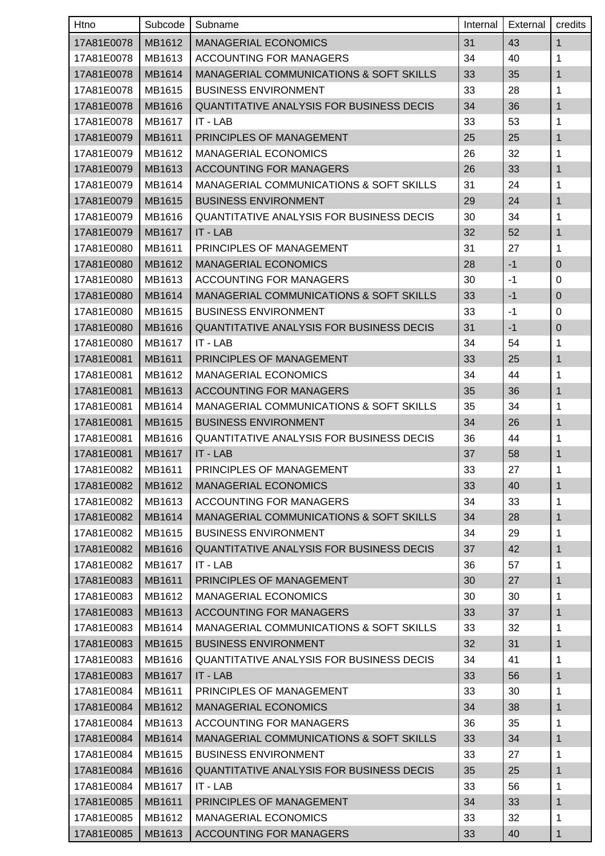| Htno       | Subcode | Subname                                            | Internal | External | credits          |
|------------|---------|----------------------------------------------------|----------|----------|------------------|
| 17A81E0078 | MB1612  | <b>MANAGERIAL ECONOMICS</b>                        | 31       | 43       | $\mathbf{1}$     |
| 17A81E0078 | MB1613  | ACCOUNTING FOR MANAGERS                            | 34       | 40       | 1                |
| 17A81E0078 | MB1614  | <b>MANAGERIAL COMMUNICATIONS &amp; SOFT SKILLS</b> | 33       | 35       | $\mathbf{1}$     |
| 17A81E0078 | MB1615  | <b>BUSINESS ENVIRONMENT</b>                        | 33       | 28       | 1                |
| 17A81E0078 | MB1616  | QUANTITATIVE ANALYSIS FOR BUSINESS DECIS           | 34       | 36       | $\mathbf{1}$     |
| 17A81E0078 | MB1617  | IT - LAB                                           | 33       | 53       | 1                |
| 17A81E0079 | MB1611  | PRINCIPLES OF MANAGEMENT                           | 25       | 25       | 1                |
| 17A81E0079 | MB1612  | <b>MANAGERIAL ECONOMICS</b>                        | 26       | 32       | 1                |
| 17A81E0079 | MB1613  | <b>ACCOUNTING FOR MANAGERS</b>                     | 26       | 33       | $\mathbf{1}$     |
| 17A81E0079 | MB1614  | MANAGERIAL COMMUNICATIONS & SOFT SKILLS            | 31       | 24       | 1                |
| 17A81E0079 | MB1615  | <b>BUSINESS ENVIRONMENT</b>                        | 29       | 24       | $\mathbf{1}$     |
| 17A81E0079 | MB1616  | <b>QUANTITATIVE ANALYSIS FOR BUSINESS DECIS</b>    | 30       | 34       | 1                |
| 17A81E0079 | MB1617  | IT - LAB                                           | 32       | 52       | 1                |
| 17A81E0080 | MB1611  | PRINCIPLES OF MANAGEMENT                           | 31       | 27       | 1                |
| 17A81E0080 | MB1612  | <b>MANAGERIAL ECONOMICS</b>                        | 28       | $-1$     | $\boldsymbol{0}$ |
| 17A81E0080 | MB1613  | <b>ACCOUNTING FOR MANAGERS</b>                     | 30       | $-1$     | 0                |
| 17A81E0080 | MB1614  | MANAGERIAL COMMUNICATIONS & SOFT SKILLS            | 33       | $-1$     | $\overline{0}$   |
| 17A81E0080 | MB1615  | <b>BUSINESS ENVIRONMENT</b>                        | 33       | $-1$     | 0                |
| 17A81E0080 | MB1616  | <b>QUANTITATIVE ANALYSIS FOR BUSINESS DECIS</b>    | 31       | $-1$     | $\boldsymbol{0}$ |
| 17A81E0080 | MB1617  | IT - LAB                                           | 34       | 54       | 1                |
| 17A81E0081 | MB1611  | PRINCIPLES OF MANAGEMENT                           | 33       | 25       | $\mathbf{1}$     |
| 17A81E0081 | MB1612  | <b>MANAGERIAL ECONOMICS</b>                        | 34       | 44       | 1                |
| 17A81E0081 | MB1613  | <b>ACCOUNTING FOR MANAGERS</b>                     | 35       | 36       | 1                |
| 17A81E0081 | MB1614  | MANAGERIAL COMMUNICATIONS & SOFT SKILLS            | 35       | 34       | 1                |
| 17A81E0081 | MB1615  | <b>BUSINESS ENVIRONMENT</b>                        | 34       | 26       | $\mathbf{1}$     |
| 17A81E0081 | MB1616  | <b>QUANTITATIVE ANALYSIS FOR BUSINESS DECIS</b>    | 36       | 44       | 1                |
| 17A81E0081 | MB1617  | IT - LAB                                           | 37       | 58       | $\mathbf{1}$     |
| 17A81E0082 | MB1611  | PRINCIPLES OF MANAGEMENT                           | 33       | 27       | 1                |
| 17A81E0082 | MB1612  | <b>MANAGERIAL ECONOMICS</b>                        | 33       | 40       | $\mathbf{1}$     |
| 17A81E0082 | MB1613  | ACCOUNTING FOR MANAGERS                            | 34       | 33       | 1                |
| 17A81E0082 | MB1614  | MANAGERIAL COMMUNICATIONS & SOFT SKILLS            | 34       | 28       | 1                |
| 17A81E0082 | MB1615  | <b>BUSINESS ENVIRONMENT</b>                        | 34       | 29       | 1                |
| 17A81E0082 | MB1616  | QUANTITATIVE ANALYSIS FOR BUSINESS DECIS           | 37       | 42       | 1                |
| 17A81E0082 | MB1617  | $IT - LAB$                                         | 36       | 57       | $\mathbf{1}$     |
| 17A81E0083 | MB1611  | PRINCIPLES OF MANAGEMENT                           | 30       | 27       | $\mathbf{1}$     |
| 17A81E0083 | MB1612  | <b>MANAGERIAL ECONOMICS</b>                        | 30       | 30       | $\mathbf{1}$     |
| 17A81E0083 | MB1613  | <b>ACCOUNTING FOR MANAGERS</b>                     | 33       | 37       | $\mathbf{1}$     |
| 17A81E0083 | MB1614  | MANAGERIAL COMMUNICATIONS & SOFT SKILLS            | 33       | 32       | 1                |
| 17A81E0083 | MB1615  | <b>BUSINESS ENVIRONMENT</b>                        | 32       | 31       | $\mathbf{1}$     |
| 17A81E0083 | MB1616  | <b>QUANTITATIVE ANALYSIS FOR BUSINESS DECIS</b>    | 34       | 41       | 1                |
| 17A81E0083 | MB1617  | IT - LAB                                           | 33       | 56       | $\mathbf{1}$     |
| 17A81E0084 | MB1611  | PRINCIPLES OF MANAGEMENT                           | 33       | 30       | 1                |
| 17A81E0084 | MB1612  | <b>MANAGERIAL ECONOMICS</b>                        | 34       | 38       | 1                |
| 17A81E0084 | MB1613  | ACCOUNTING FOR MANAGERS                            | 36       | 35       | 1                |
| 17A81E0084 | MB1614  | MANAGERIAL COMMUNICATIONS & SOFT SKILLS            | 33       | 34       | 1                |
| 17A81E0084 | MB1615  | <b>BUSINESS ENVIRONMENT</b>                        | 33       | 27       | 1                |
| 17A81E0084 | MB1616  | QUANTITATIVE ANALYSIS FOR BUSINESS DECIS           | 35       | 25       | $\mathbf{1}$     |
| 17A81E0084 | MB1617  | IT - LAB                                           | 33       | 56       | 1                |
| 17A81E0085 | MB1611  | PRINCIPLES OF MANAGEMENT                           | 34       | 33       | $\mathbf{1}$     |
| 17A81E0085 | MB1612  | <b>MANAGERIAL ECONOMICS</b>                        | 33       | 32       | 1                |
| 17A81E0085 | MB1613  | <b>ACCOUNTING FOR MANAGERS</b>                     | 33       | 40       | 1                |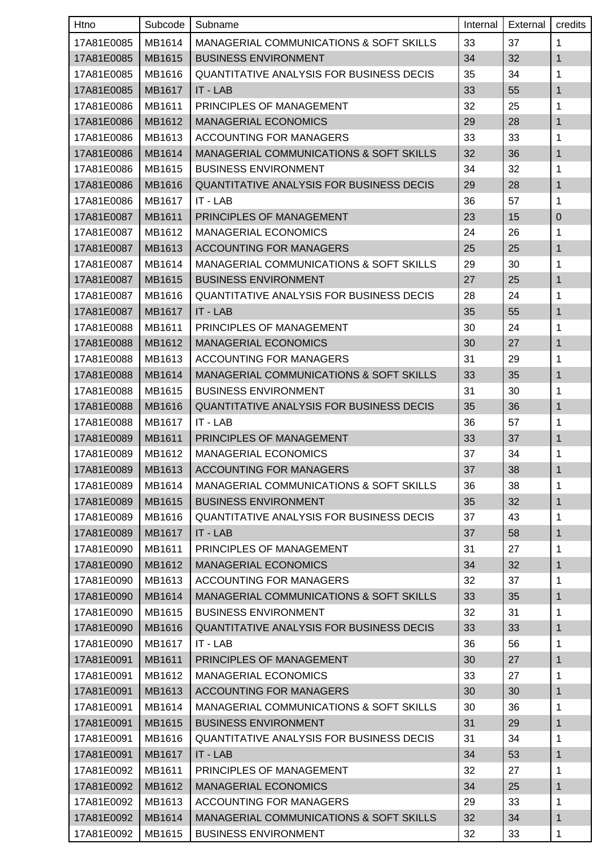| Htno       | Subcode       | Subname                                            | Internal | External | credits      |
|------------|---------------|----------------------------------------------------|----------|----------|--------------|
| 17A81E0085 | MB1614        | <b>MANAGERIAL COMMUNICATIONS &amp; SOFT SKILLS</b> | 33       | 37       | 1            |
| 17A81E0085 | MB1615        | <b>BUSINESS ENVIRONMENT</b>                        | 34       | 32       | 1            |
| 17A81E0085 | MB1616        | <b>QUANTITATIVE ANALYSIS FOR BUSINESS DECIS</b>    | 35       | 34       | 1            |
| 17A81E0085 | MB1617        | IT - LAB                                           | 33       | 55       | 1            |
| 17A81E0086 | MB1611        | PRINCIPLES OF MANAGEMENT                           | 32       | 25       | 1            |
| 17A81E0086 | MB1612        | <b>MANAGERIAL ECONOMICS</b>                        | 29       | 28       | 1            |
| 17A81E0086 | MB1613        | ACCOUNTING FOR MANAGERS                            | 33       | 33       | 1            |
| 17A81E0086 | MB1614        | <b>MANAGERIAL COMMUNICATIONS &amp; SOFT SKILLS</b> | 32       | 36       | $\mathbf{1}$ |
| 17A81E0086 | MB1615        | <b>BUSINESS ENVIRONMENT</b>                        | 34       | 32       | 1            |
| 17A81E0086 | MB1616        | <b>QUANTITATIVE ANALYSIS FOR BUSINESS DECIS</b>    | 29       | 28       | 1            |
| 17A81E0086 | MB1617        | IT - LAB                                           | 36       | 57       | 1            |
| 17A81E0087 | MB1611        | <b>PRINCIPLES OF MANAGEMENT</b>                    | 23       | 15       | $\mathbf 0$  |
| 17A81E0087 | MB1612        | <b>MANAGERIAL ECONOMICS</b>                        | 24       | 26       | 1            |
| 17A81E0087 | MB1613        | <b>ACCOUNTING FOR MANAGERS</b>                     | 25       | 25       | $\mathbf{1}$ |
| 17A81E0087 | MB1614        | <b>MANAGERIAL COMMUNICATIONS &amp; SOFT SKILLS</b> | 29       | 30       | 1            |
| 17A81E0087 | MB1615        | <b>BUSINESS ENVIRONMENT</b>                        | 27       | 25       | 1            |
| 17A81E0087 | MB1616        | <b>QUANTITATIVE ANALYSIS FOR BUSINESS DECIS</b>    | 28       | 24       | 1            |
| 17A81E0087 | MB1617        | IT - LAB                                           | 35       | 55       | 1            |
| 17A81E0088 | MB1611        | PRINCIPLES OF MANAGEMENT                           | 30       | 24       | 1            |
| 17A81E0088 | MB1612        | <b>MANAGERIAL ECONOMICS</b>                        | 30       | 27       | 1            |
| 17A81E0088 | MB1613        | <b>ACCOUNTING FOR MANAGERS</b>                     | 31       | 29       | 1            |
| 17A81E0088 | MB1614        | <b>MANAGERIAL COMMUNICATIONS &amp; SOFT SKILLS</b> | 33       | 35       | 1            |
| 17A81E0088 | MB1615        | <b>BUSINESS ENVIRONMENT</b>                        | 31       | 30       | 1            |
| 17A81E0088 | MB1616        | <b>QUANTITATIVE ANALYSIS FOR BUSINESS DECIS</b>    | 35       | 36       | 1            |
| 17A81E0088 | MB1617        | IT - LAB                                           | 36       | 57       | 1            |
| 17A81E0089 | MB1611        | PRINCIPLES OF MANAGEMENT                           | 33       | 37       | 1            |
| 17A81E0089 | MB1612        | <b>MANAGERIAL ECONOMICS</b>                        | 37       | 34       | 1            |
| 17A81E0089 |               | MB1613   ACCOUNTING FOR MANAGERS                   | 37       | 38       | $\mathbf{1}$ |
| 17A81E0089 | MB1614        | MANAGERIAL COMMUNICATIONS & SOFT SKILLS            | 36       | 38       | 1            |
| 17A81E0089 | MB1615        | <b>BUSINESS ENVIRONMENT</b>                        | 35       | 32       | $\mathbf{1}$ |
| 17A81E0089 | MB1616        | <b>QUANTITATIVE ANALYSIS FOR BUSINESS DECIS</b>    | 37       | 43       | 1            |
| 17A81E0089 | <b>MB1617</b> | IT - LAB                                           | 37       | 58       | 1            |
| 17A81E0090 | MB1611        | PRINCIPLES OF MANAGEMENT                           | 31       | 27       | 1            |
| 17A81E0090 | MB1612        | <b>MANAGERIAL ECONOMICS</b>                        | 34       | 32       | 1            |
| 17A81E0090 | MB1613        | <b>ACCOUNTING FOR MANAGERS</b>                     | 32       | 37       | 1            |
| 17A81E0090 | MB1614        | MANAGERIAL COMMUNICATIONS & SOFT SKILLS            | 33       | 35       | 1            |
| 17A81E0090 | MB1615        | <b>BUSINESS ENVIRONMENT</b>                        | 32       | 31       | 1            |
| 17A81E0090 | MB1616        | QUANTITATIVE ANALYSIS FOR BUSINESS DECIS           | 33       | 33       | 1            |
| 17A81E0090 | MB1617        | IT - LAB                                           | 36       | 56       | 1            |
| 17A81E0091 | MB1611        | PRINCIPLES OF MANAGEMENT                           | 30       | 27       | $\mathbf{1}$ |
| 17A81E0091 | MB1612        | <b>MANAGERIAL ECONOMICS</b>                        | 33       | 27       | 1            |
| 17A81E0091 | MB1613        | <b>ACCOUNTING FOR MANAGERS</b>                     | 30       | 30       | 1            |
| 17A81E0091 | MB1614        | MANAGERIAL COMMUNICATIONS & SOFT SKILLS            | 30       | 36       | 1            |
| 17A81E0091 | MB1615        | <b>BUSINESS ENVIRONMENT</b>                        | 31       | 29       | 1            |
| 17A81E0091 | MB1616        | QUANTITATIVE ANALYSIS FOR BUSINESS DECIS           | 31       | 34       | 1            |
| 17A81E0091 | MB1617        | IT - LAB                                           | 34       | 53       | $\mathbf{1}$ |
| 17A81E0092 | MB1611        | PRINCIPLES OF MANAGEMENT                           | 32       | 27       | 1            |
| 17A81E0092 | MB1612        | <b>MANAGERIAL ECONOMICS</b>                        | 34       | 25       | 1            |
| 17A81E0092 | MB1613        | <b>ACCOUNTING FOR MANAGERS</b>                     | 29       | 33       | $\mathbf{1}$ |
| 17A81E0092 | MB1614        | MANAGERIAL COMMUNICATIONS & SOFT SKILLS            | 32       | 34       | $\mathbf{1}$ |
| 17A81E0092 | MB1615        | <b>BUSINESS ENVIRONMENT</b>                        | 32       | 33       | 1            |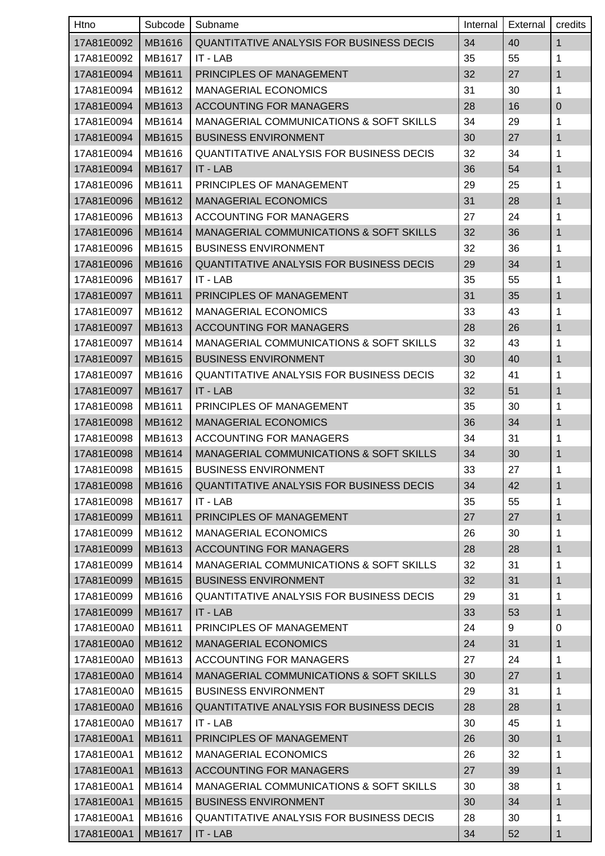| Htno       | Subcode | Subname                                            | Internal | External | credits      |
|------------|---------|----------------------------------------------------|----------|----------|--------------|
| 17A81E0092 | MB1616  | <b>QUANTITATIVE ANALYSIS FOR BUSINESS DECIS</b>    | 34       | 40       | $\mathbf{1}$ |
| 17A81E0092 | MB1617  | IT - LAB                                           | 35       | 55       | 1            |
| 17A81E0094 | MB1611  | PRINCIPLES OF MANAGEMENT                           | 32       | 27       | 1            |
| 17A81E0094 | MB1612  | <b>MANAGERIAL ECONOMICS</b>                        | 31       | 30       | 1            |
| 17A81E0094 | MB1613  | <b>ACCOUNTING FOR MANAGERS</b>                     | 28       | 16       | $\mathbf 0$  |
| 17A81E0094 | MB1614  | MANAGERIAL COMMUNICATIONS & SOFT SKILLS            | 34       | 29       | 1            |
| 17A81E0094 | MB1615  | <b>BUSINESS ENVIRONMENT</b>                        | 30       | 27       | 1            |
| 17A81E0094 | MB1616  | <b>QUANTITATIVE ANALYSIS FOR BUSINESS DECIS</b>    | 32       | 34       | 1            |
| 17A81E0094 | MB1617  | IT - LAB                                           | 36       | 54       | 1            |
| 17A81E0096 | MB1611  | PRINCIPLES OF MANAGEMENT                           | 29       | 25       | 1            |
| 17A81E0096 | MB1612  | <b>MANAGERIAL ECONOMICS</b>                        | 31       | 28       | 1            |
| 17A81E0096 | MB1613  | <b>ACCOUNTING FOR MANAGERS</b>                     | 27       | 24       | 1            |
| 17A81E0096 | MB1614  | MANAGERIAL COMMUNICATIONS & SOFT SKILLS            | 32       | 36       | 1            |
| 17A81E0096 | MB1615  | <b>BUSINESS ENVIRONMENT</b>                        | 32       | 36       | 1            |
| 17A81E0096 | MB1616  | QUANTITATIVE ANALYSIS FOR BUSINESS DECIS           | 29       | 34       | 1            |
| 17A81E0096 | MB1617  | IT - LAB                                           | 35       | 55       | 1            |
| 17A81E0097 | MB1611  | PRINCIPLES OF MANAGEMENT                           | 31       | 35       | 1            |
| 17A81E0097 | MB1612  | <b>MANAGERIAL ECONOMICS</b>                        | 33       | 43       | 1            |
| 17A81E0097 | MB1613  | <b>ACCOUNTING FOR MANAGERS</b>                     | 28       | 26       | 1            |
| 17A81E0097 | MB1614  | MANAGERIAL COMMUNICATIONS & SOFT SKILLS            | 32       | 43       | 1            |
| 17A81E0097 | MB1615  | <b>BUSINESS ENVIRONMENT</b>                        | 30       | 40       | 1            |
| 17A81E0097 | MB1616  | <b>QUANTITATIVE ANALYSIS FOR BUSINESS DECIS</b>    | 32       | 41       | 1            |
| 17A81E0097 | MB1617  | IT - LAB                                           | 32       | 51       | $\mathbf{1}$ |
| 17A81E0098 | MB1611  | PRINCIPLES OF MANAGEMENT                           | 35       | 30       | 1            |
| 17A81E0098 | MB1612  | <b>MANAGERIAL ECONOMICS</b>                        | 36       | 34       | 1            |
| 17A81E0098 | MB1613  | <b>ACCOUNTING FOR MANAGERS</b>                     | 34       | 31       | 1            |
| 17A81E0098 | MB1614  | <b>MANAGERIAL COMMUNICATIONS &amp; SOFT SKILLS</b> | 34       | 30       | 1            |
| 17A81E0098 | MB1615  | <b>BUSINESS ENVIRONMENT</b>                        | 33       | $27\,$   | $\mathbf 1$  |
| 17A81E0098 | MB1616  | QUANTITATIVE ANALYSIS FOR BUSINESS DECIS           | 34       | 42       | $\mathbf{1}$ |
| 17A81E0098 | MB1617  | IT - LAB                                           | 35       | 55       | 1            |
| 17A81E0099 | MB1611  | PRINCIPLES OF MANAGEMENT                           | 27       | 27       | 1            |
| 17A81E0099 | MB1612  | <b>MANAGERIAL ECONOMICS</b>                        | 26       | 30       | 1            |
| 17A81E0099 | MB1613  | <b>ACCOUNTING FOR MANAGERS</b>                     | 28       | 28       | 1            |
| 17A81E0099 | MB1614  | <b>MANAGERIAL COMMUNICATIONS &amp; SOFT SKILLS</b> | 32       | 31       | 1            |
| 17A81E0099 | MB1615  | <b>BUSINESS ENVIRONMENT</b>                        | 32       | 31       | 1            |
| 17A81E0099 | MB1616  | <b>QUANTITATIVE ANALYSIS FOR BUSINESS DECIS</b>    | 29       | 31       | 1            |
| 17A81E0099 | MB1617  | IT - LAB                                           | 33       | 53       | 1            |
| 17A81E00A0 | MB1611  | PRINCIPLES OF MANAGEMENT                           | 24       | 9        | $\mathbf 0$  |
| 17A81E00A0 | MB1612  | <b>MANAGERIAL ECONOMICS</b>                        | 24       | 31       | 1            |
| 17A81E00A0 | MB1613  | <b>ACCOUNTING FOR MANAGERS</b>                     | 27       | 24       | 1            |
| 17A81E00A0 | MB1614  | <b>MANAGERIAL COMMUNICATIONS &amp; SOFT SKILLS</b> | 30       | 27       | 1            |
| 17A81E00A0 | MB1615  | <b>BUSINESS ENVIRONMENT</b>                        | 29       | 31       | 1            |
| 17A81E00A0 | MB1616  | QUANTITATIVE ANALYSIS FOR BUSINESS DECIS           | 28       | 28       | 1            |
| 17A81E00A0 | MB1617  | IT - LAB                                           | 30       | 45       | 1            |
| 17A81E00A1 | MB1611  | PRINCIPLES OF MANAGEMENT                           | 26       | 30       | 1            |
| 17A81E00A1 | MB1612  | <b>MANAGERIAL ECONOMICS</b>                        | 26       | 32       | 1            |
| 17A81E00A1 | MB1613  | <b>ACCOUNTING FOR MANAGERS</b>                     | 27       | 39       | 1            |
| 17A81E00A1 | MB1614  | MANAGERIAL COMMUNICATIONS & SOFT SKILLS            | 30       | 38       | 1            |
| 17A81E00A1 | MB1615  | <b>BUSINESS ENVIRONMENT</b>                        | 30       | 34       | 1            |
| 17A81E00A1 | MB1616  | QUANTITATIVE ANALYSIS FOR BUSINESS DECIS           | 28       | 30       | 1            |
| 17A81E00A1 | MB1617  | IT - LAB                                           | 34       | 52       | 1            |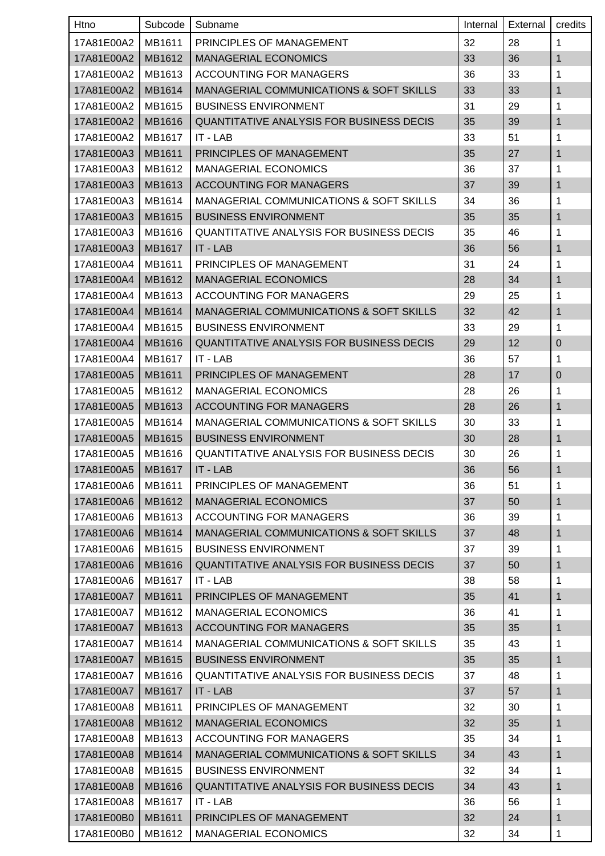| Htno                | Subcode | Subname                                            | Internal | External | credits          |
|---------------------|---------|----------------------------------------------------|----------|----------|------------------|
| 17A81E00A2          | MB1611  | PRINCIPLES OF MANAGEMENT                           | 32       | 28       | 1                |
| 17A81E00A2          | MB1612  | <b>MANAGERIAL ECONOMICS</b>                        | 33       | 36       | $\mathbf{1}$     |
| 17A81E00A2          | MB1613  | <b>ACCOUNTING FOR MANAGERS</b>                     | 36       | 33       | 1                |
| 17A81E00A2          | MB1614  | <b>MANAGERIAL COMMUNICATIONS &amp; SOFT SKILLS</b> | 33       | 33       | $\mathbf{1}$     |
| 17A81E00A2          | MB1615  | <b>BUSINESS ENVIRONMENT</b>                        | 31       | 29       | 1                |
| 17A81E00A2          | MB1616  | QUANTITATIVE ANALYSIS FOR BUSINESS DECIS           | 35       | 39       | 1                |
| 17A81E00A2          | MB1617  | IT - LAB                                           | 33       | 51       | 1                |
| 17A81E00A3          | MB1611  | PRINCIPLES OF MANAGEMENT                           | 35       | 27       | $\mathbf{1}$     |
| 17A81E00A3          | MB1612  | <b>MANAGERIAL ECONOMICS</b>                        | 36       | 37       | 1                |
| 17A81E00A3          | MB1613  | <b>ACCOUNTING FOR MANAGERS</b>                     | 37       | 39       | $\mathbf{1}$     |
| 17A81E00A3          | MB1614  | <b>MANAGERIAL COMMUNICATIONS &amp; SOFT SKILLS</b> | 34       | 36       | 1                |
| 17A81E00A3          | MB1615  | <b>BUSINESS ENVIRONMENT</b>                        | 35       | 35       | 1                |
| 17A81E00A3          | MB1616  | <b>QUANTITATIVE ANALYSIS FOR BUSINESS DECIS</b>    | 35       | 46       | 1                |
| 17A81E00A3          | MB1617  | IT - LAB                                           | 36       | 56       | $\mathbf{1}$     |
| 17A81E00A4          | MB1611  | PRINCIPLES OF MANAGEMENT                           | 31       | 24       | 1                |
| 17A81E00A4          | MB1612  | <b>MANAGERIAL ECONOMICS</b>                        | 28       | 34       | 1                |
| 17A81E00A4          | MB1613  | ACCOUNTING FOR MANAGERS                            | 29       | 25       | 1                |
| 17A81E00A4          | MB1614  | <b>MANAGERIAL COMMUNICATIONS &amp; SOFT SKILLS</b> | 32       | 42       | $\mathbf{1}$     |
| 17A81E00A4          | MB1615  | <b>BUSINESS ENVIRONMENT</b>                        | 33       | 29       | 1                |
| 17A81E00A4          | MB1616  | QUANTITATIVE ANALYSIS FOR BUSINESS DECIS           | 29       | 12       | $\boldsymbol{0}$ |
| 17A81E00A4          | MB1617  | IT - LAB                                           | 36       | 57       | 1                |
| 17A81E00A5          | MB1611  | PRINCIPLES OF MANAGEMENT                           | 28       | 17       | 0                |
| 17A81E00A5          | MB1612  | <b>MANAGERIAL ECONOMICS</b>                        | 28       | 26       | 1                |
| 17A81E00A5          | MB1613  | <b>ACCOUNTING FOR MANAGERS</b>                     | 28       | 26       | $\mathbf{1}$     |
| 17A81E00A5          | MB1614  | <b>MANAGERIAL COMMUNICATIONS &amp; SOFT SKILLS</b> | 30       | 33       | 1                |
| 17A81E00A5          | MB1615  | <b>BUSINESS ENVIRONMENT</b>                        | 30       | 28       | 1                |
| 17A81E00A5          | MB1616  | <b>QUANTITATIVE ANALYSIS FOR BUSINESS DECIS</b>    | 30       | 26       | 1                |
| 17A81E00A5   MB1617 |         | $\vert$ IT - LAB                                   | 36       | 56       | $\mathbf{1}$     |
| 17A81E00A6          | MB1611  | PRINCIPLES OF MANAGEMENT                           | 36       | 51       | 1                |
| 17A81E00A6          | MB1612  | <b>MANAGERIAL ECONOMICS</b>                        | 37       | 50       | $\mathbf{1}$     |
| 17A81E00A6          | MB1613  | <b>ACCOUNTING FOR MANAGERS</b>                     | 36       | 39       | 1                |
| 17A81E00A6          | MB1614  | MANAGERIAL COMMUNICATIONS & SOFT SKILLS            | 37       | 48       | $\mathbf{1}$     |
| 17A81E00A6          | MB1615  | <b>BUSINESS ENVIRONMENT</b>                        | 37       | 39       | 1                |
| 17A81E00A6          | MB1616  | <b>QUANTITATIVE ANALYSIS FOR BUSINESS DECIS</b>    | 37       | 50       | $\mathbf{1}$     |
| 17A81E00A6          | MB1617  | IT - LAB                                           | 38       | 58       | $\mathbf{1}$     |
| 17A81E00A7          | MB1611  | PRINCIPLES OF MANAGEMENT                           | 35       | 41       | $\mathbf{1}$     |
| 17A81E00A7          | MB1612  | <b>MANAGERIAL ECONOMICS</b>                        | 36       | 41       | $\mathbf{1}$     |
| 17A81E00A7          | MB1613  | ACCOUNTING FOR MANAGERS                            | 35       | 35       | $\mathbf{1}$     |
| 17A81E00A7          | MB1614  | MANAGERIAL COMMUNICATIONS & SOFT SKILLS            | 35       | 43       | $\mathbf{1}$     |
| 17A81E00A7          | MB1615  | <b>BUSINESS ENVIRONMENT</b>                        | 35       | 35       | $\mathbf{1}$     |
| 17A81E00A7          | MB1616  | <b>QUANTITATIVE ANALYSIS FOR BUSINESS DECIS</b>    | 37       | 48       | 1                |
| 17A81E00A7          | MB1617  | IT - LAB                                           | 37       | 57       | $\mathbf{1}$     |
| 17A81E00A8          | MB1611  | PRINCIPLES OF MANAGEMENT                           | 32       | 30       | 1                |
| 17A81E00A8          | MB1612  | <b>MANAGERIAL ECONOMICS</b>                        | 32       | 35       | 1                |
| 17A81E00A8          | MB1613  | ACCOUNTING FOR MANAGERS                            | 35       | 34       | $\mathbf{1}$     |
| 17A81E00A8          | MB1614  | <b>MANAGERIAL COMMUNICATIONS &amp; SOFT SKILLS</b> | 34       | 43       | $\mathbf{1}$     |
| 17A81E00A8          | MB1615  | <b>BUSINESS ENVIRONMENT</b>                        | 32       | 34       | $\mathbf{1}$     |
| 17A81E00A8          | MB1616  | QUANTITATIVE ANALYSIS FOR BUSINESS DECIS           | 34       | 43       | $\mathbf{1}$     |
| 17A81E00A8          | MB1617  | IT - LAB                                           | 36       | 56       | $\mathbf{1}$     |
| 17A81E00B0          | MB1611  | PRINCIPLES OF MANAGEMENT                           | 32       | 24       | $\mathbf{1}$     |
| 17A81E00B0          | MB1612  | <b>MANAGERIAL ECONOMICS</b>                        | 32       | 34       | $\mathbf{1}$     |